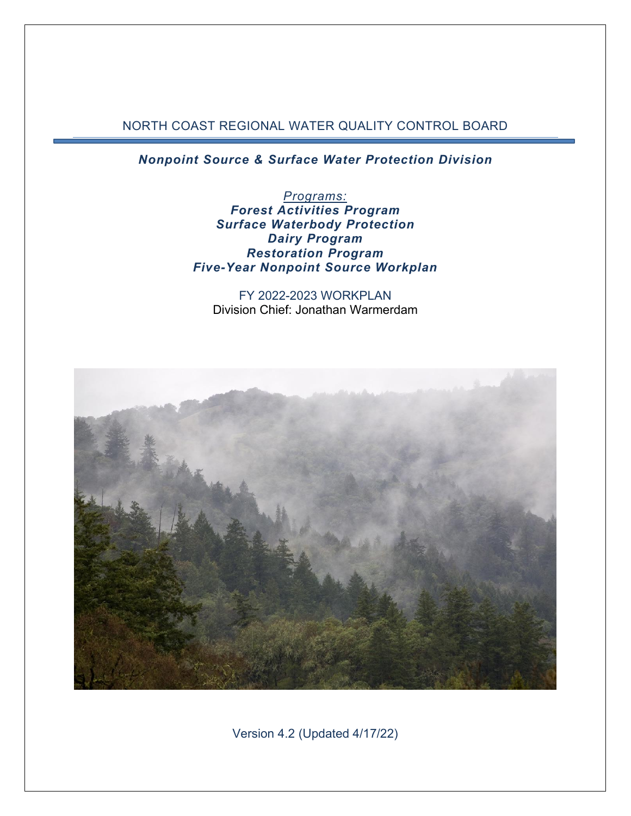#### NORTH COAST REGIONAL WATER QUALITY CONTROL BOARD

*Nonpoint Source & Surface Water Protection Division*

*Programs: Forest Activities Program Surface Waterbody Protection Dairy Program Restoration Program Five-Year Nonpoint Source Workplan*

FY 2022-2023 WORKPLAN Division Chief: Jonathan Warmerdam

<span id="page-0-0"></span>

Version 4.2 (Updated 4/17/22)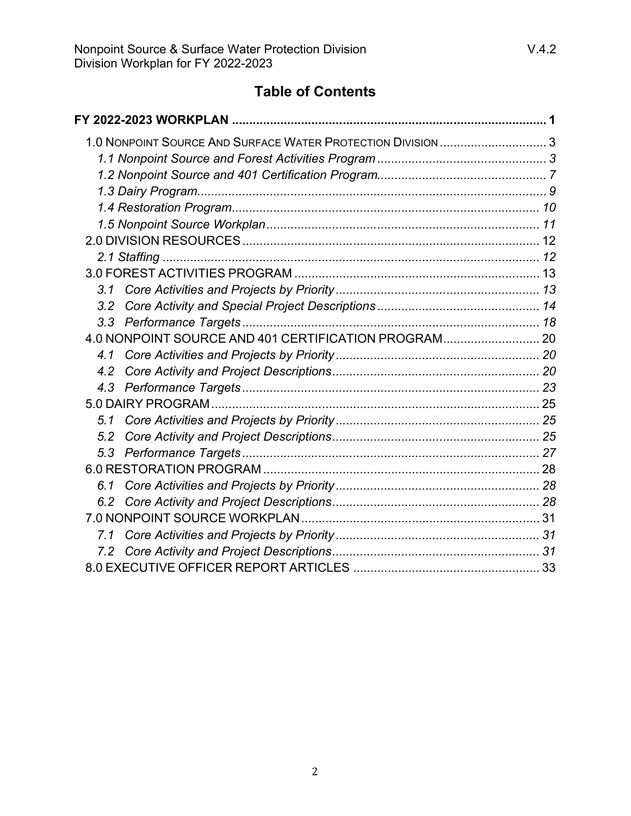| 3.1                                                  |  |
|------------------------------------------------------|--|
| 3.2                                                  |  |
|                                                      |  |
| 4.0 NONPOINT SOURCE AND 401 CERTIFICATION PROGRAM 20 |  |
| 4.1                                                  |  |
| 4.2                                                  |  |
|                                                      |  |
|                                                      |  |
| 51                                                   |  |
| 5.2                                                  |  |
|                                                      |  |
|                                                      |  |
| 6.1                                                  |  |
|                                                      |  |
|                                                      |  |
| 7.1                                                  |  |
|                                                      |  |
|                                                      |  |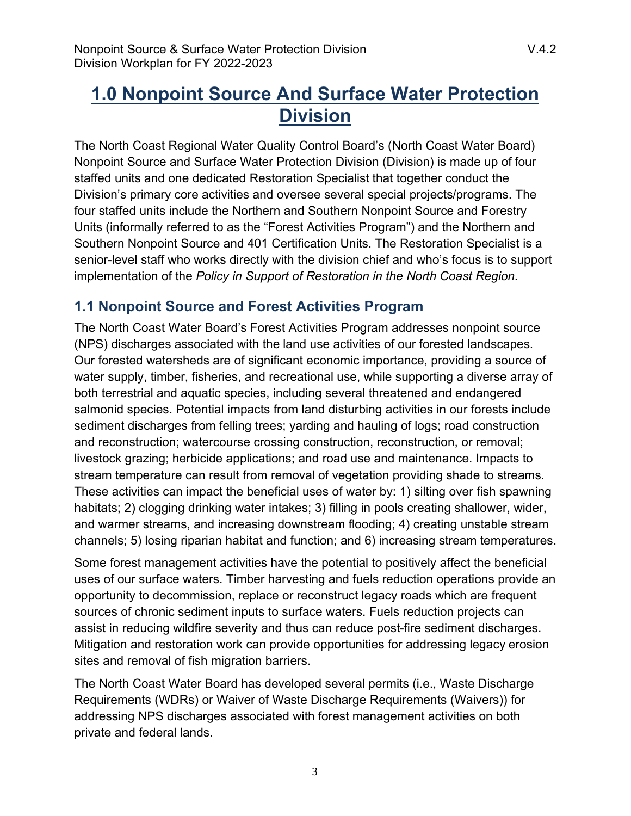# <span id="page-2-0"></span>**1.0 Nonpoint Source And Surface Water Protection Division**

The North Coast Regional Water Quality Control Board's (North Coast Water Board) Nonpoint Source and Surface Water Protection Division (Division) is made up of four staffed units and one dedicated Restoration Specialist that together conduct the Division's primary core activities and oversee several special projects/programs. The four staffed units include the Northern and Southern Nonpoint Source and Forestry Units (informally referred to as the "Forest Activities Program") and the Northern and Southern Nonpoint Source and 401 Certification Units. The Restoration Specialist is a senior-level staff who works directly with the division chief and who's focus is to support implementation of the *Policy in Support of Restoration in the North Coast Region*.

# <span id="page-2-1"></span>**1.1 Nonpoint Source and Forest Activities Program**

The North Coast Water Board's Forest Activities Program addresses nonpoint source (NPS) discharges associated with the land use activities of our forested landscapes. Our forested watersheds are of significant economic importance, providing a source of water supply, timber, fisheries, and recreational use, while supporting a diverse array of both terrestrial and aquatic species, including several threatened and endangered salmonid species. Potential impacts from land disturbing activities in our forests include sediment discharges from felling trees; yarding and hauling of logs; road construction and reconstruction; watercourse crossing construction, reconstruction, or removal; livestock grazing; herbicide applications; and road use and maintenance. Impacts to stream temperature can result from removal of vegetation providing shade to streams. These activities can impact the beneficial uses of water by: 1) silting over fish spawning habitats; 2) clogging drinking water intakes; 3) filling in pools creating shallower, wider, and warmer streams, and increasing downstream flooding; 4) creating unstable stream channels; 5) losing riparian habitat and function; and 6) increasing stream temperatures.

Some forest management activities have the potential to positively affect the beneficial uses of our surface waters. Timber harvesting and fuels reduction operations provide an opportunity to decommission, replace or reconstruct legacy roads which are frequent sources of chronic sediment inputs to surface waters. Fuels reduction projects can assist in reducing wildfire severity and thus can reduce post-fire sediment discharges. Mitigation and restoration work can provide opportunities for addressing legacy erosion sites and removal of fish migration barriers.

The North Coast Water Board has developed several permits (i.e., Waste Discharge Requirements (WDRs) or Waiver of Waste Discharge Requirements (Waivers)) for addressing NPS discharges associated with forest management activities on both private and federal lands.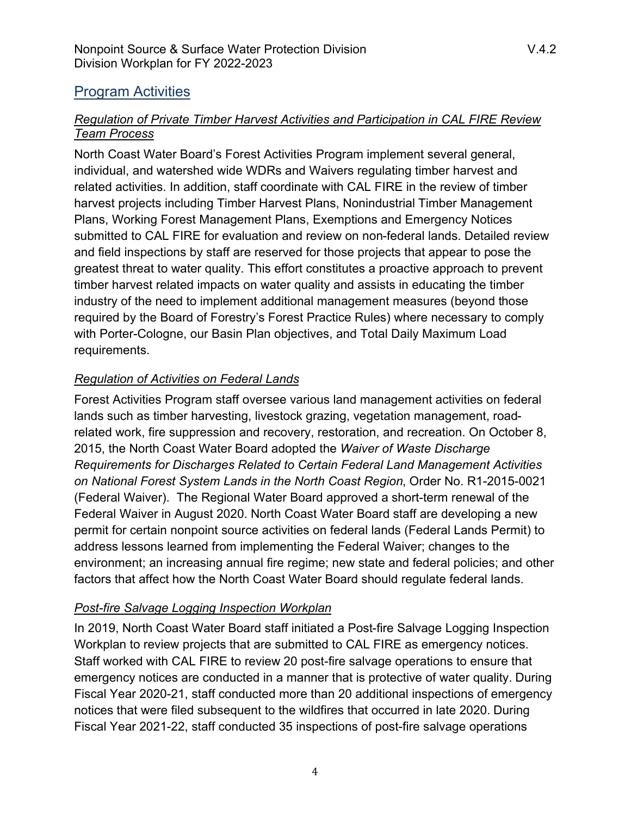# Program Activities

#### *Regulation of Private Timber Harvest Activities and Participation in CAL FIRE Review Team Process*

North Coast Water Board's Forest Activities Program implement several general, individual, and watershed wide WDRs and Waivers regulating timber harvest and related activities. In addition, staff coordinate with CAL FIRE in the review of timber harvest projects including Timber Harvest Plans, Nonindustrial Timber Management Plans, Working Forest Management Plans, Exemptions and Emergency Notices submitted to CAL FIRE for evaluation and review on non-federal lands. Detailed review and field inspections by staff are reserved for those projects that appear to pose the greatest threat to water quality. This effort constitutes a proactive approach to prevent timber harvest related impacts on water quality and assists in educating the timber industry of the need to implement additional management measures (beyond those required by the Board of Forestry's Forest Practice Rules) where necessary to comply with Porter-Cologne, our Basin Plan objectives, and Total Daily Maximum Load requirements.

#### *Regulation of Activities on Federal Lands*

Forest Activities Program staff oversee various land management activities on federal lands such as timber harvesting, livestock grazing, vegetation management, roadrelated work, fire suppression and recovery, restoration, and recreation. On October 8, 2015, the North Coast Water Board adopted the *Waiver of Waste Discharge Requirements for Discharges Related to Certain Federal Land Management Activities on National Forest System Lands in the North Coast Region*, Order No. R1-2015-0021 (Federal Waiver). The Regional Water Board approved a short-term renewal of the Federal Waiver in August 2020. North Coast Water Board staff are developing a new permit for certain nonpoint source activities on federal lands (Federal Lands Permit) to address lessons learned from implementing the Federal Waiver; changes to the environment; an increasing annual fire regime; new state and federal policies; and other factors that affect how the North Coast Water Board should regulate federal lands.

#### *Post-fire Salvage Logging Inspection Workplan*

In 2019, North Coast Water Board staff initiated a Post-fire Salvage Logging Inspection Workplan to review projects that are submitted to CAL FIRE as emergency notices. Staff worked with CAL FIRE to review 20 post-fire salvage operations to ensure that emergency notices are conducted in a manner that is protective of water quality. During Fiscal Year 2020-21, staff conducted more than 20 additional inspections of emergency notices that were filed subsequent to the wildfires that occurred in late 2020. During Fiscal Year 2021-22, staff conducted 35 inspections of post-fire salvage operations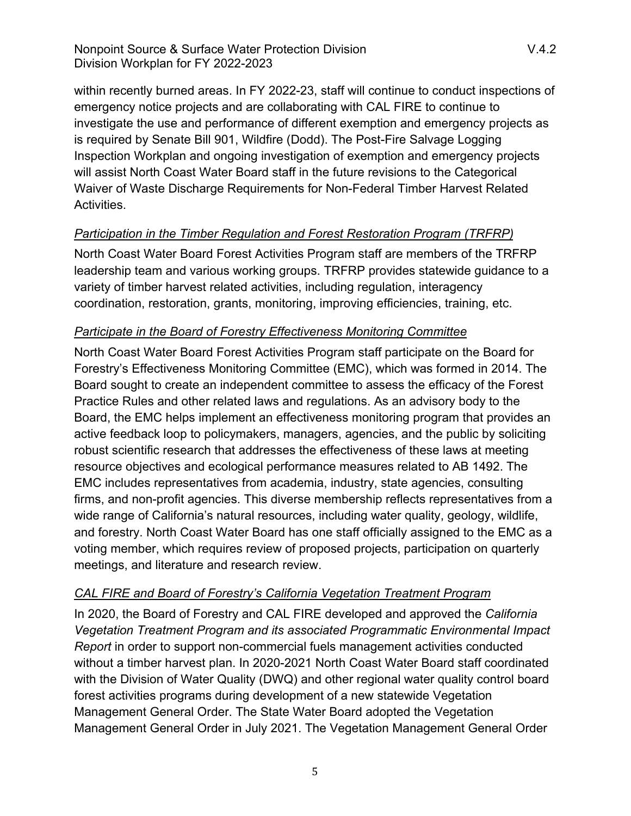within recently burned areas. In FY 2022-23, staff will continue to conduct inspections of emergency notice projects and are collaborating with CAL FIRE to continue to investigate the use and performance of different exemption and emergency projects as is required by Senate Bill 901, Wildfire (Dodd). The Post-Fire Salvage Logging Inspection Workplan and ongoing investigation of exemption and emergency projects will assist North Coast Water Board staff in the future revisions to the Categorical Waiver of Waste Discharge Requirements for Non-Federal Timber Harvest Related Activities.

# *Participation in the Timber Regulation and Forest Restoration Program (TRFRP)*

North Coast Water Board Forest Activities Program staff are members of the TRFRP leadership team and various working groups. TRFRP provides statewide guidance to a variety of timber harvest related activities, including regulation, interagency coordination, restoration, grants, monitoring, improving efficiencies, training, etc.

#### *Participate in the Board of Forestry Effectiveness Monitoring Committee*

North Coast Water Board Forest Activities Program staff participate on the Board for Forestry's Effectiveness Monitoring Committee (EMC), which was formed in 2014. The Board sought to create an independent committee to assess the efficacy of the Forest Practice Rules and other related laws and regulations. As an advisory body to the Board, the EMC helps implement an effectiveness monitoring program that provides an active feedback loop to policymakers, managers, agencies, and the public by soliciting robust scientific research that addresses the effectiveness of these laws at meeting resource objectives and ecological performance measures related to AB 1492. The EMC includes representatives from academia, industry, state agencies, consulting firms, and non-profit agencies. This diverse membership reflects representatives from a wide range of California's natural resources, including water quality, geology, wildlife, and forestry. North Coast Water Board has one staff officially assigned to the EMC as a voting member, which requires review of proposed projects, participation on quarterly meetings, and literature and research review.

# *CAL FIRE and Board of Forestry's California Vegetation Treatment Program*

In 2020, the Board of Forestry and CAL FIRE developed and approved the *California Vegetation Treatment Program and its associated Programmatic Environmental Impact Report* in order to support non-commercial fuels management activities conducted without a timber harvest plan. In 2020-2021 North Coast Water Board staff coordinated with the Division of Water Quality (DWQ) and other regional water quality control board forest activities programs during development of a new statewide Vegetation Management General Order. The State Water Board adopted the Vegetation Management General Order in July 2021. The Vegetation Management General Order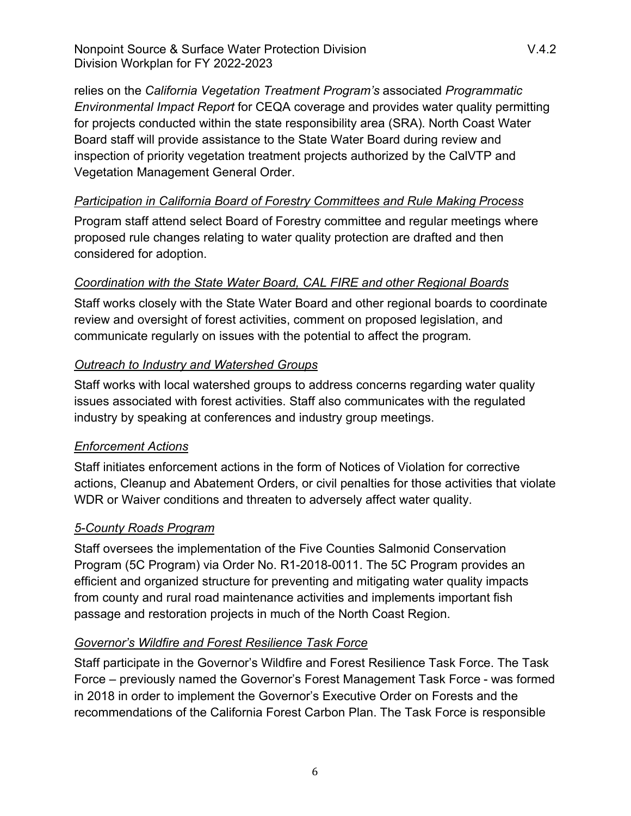relies on the *California Vegetation Treatment Program's* associated *Programmatic Environmental Impact Report* for CEQA coverage and provides water quality permitting for projects conducted within the state responsibility area (SRA). North Coast Water Board staff will provide assistance to the State Water Board during review and inspection of priority vegetation treatment projects authorized by the CalVTP and Vegetation Management General Order.

#### *Participation in California Board of Forestry Committees and Rule Making Process*

Program staff attend select Board of Forestry committee and regular meetings where proposed rule changes relating to water quality protection are drafted and then considered for adoption.

#### *Coordination with the State Water Board, CAL FIRE and other Regional Boards*

Staff works closely with the State Water Board and other regional boards to coordinate review and oversight of forest activities, comment on proposed legislation, and communicate regularly on issues with the potential to affect the program.

#### *Outreach to Industry and Watershed Groups*

Staff works with local watershed groups to address concerns regarding water quality issues associated with forest activities. Staff also communicates with the regulated industry by speaking at conferences and industry group meetings.

# *Enforcement Actions*

Staff initiates enforcement actions in the form of Notices of Violation for corrective actions, Cleanup and Abatement Orders, or civil penalties for those activities that violate WDR or Waiver conditions and threaten to adversely affect water quality.

# *5-County Roads Program*

Staff oversees the implementation of the Five Counties Salmonid Conservation Program (5C Program) via Order No. R1-2018-0011. The 5C Program provides an efficient and organized structure for preventing and mitigating water quality impacts from county and rural road maintenance activities and implements important fish passage and restoration projects in much of the North Coast Region.

# *Governor's Wildfire and Forest Resilience Task Force*

Staff participate in the Governor's Wildfire and Forest Resilience Task Force. The Task Force – previously named the Governor's Forest Management Task Force - was formed in 2018 in order to implement the Governor's Executive Order on Forests and the recommendations of the California Forest Carbon Plan. The Task Force is responsible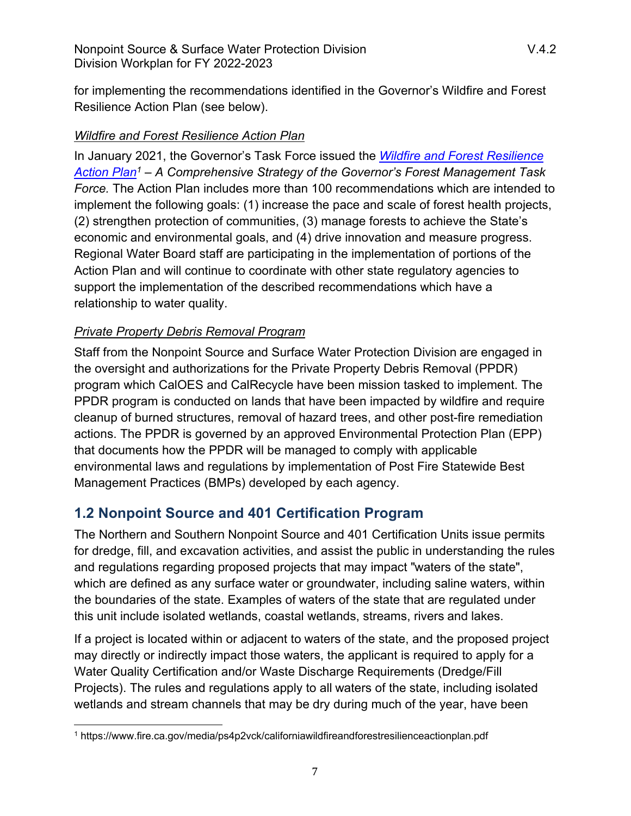for implementing the recommendations identified in the Governor's Wildfire and Forest Resilience Action Plan (see below).

#### *Wildfire and Forest Resilience Action Plan*

In January 2021, the Governor's Task Force issued the *[Wildfire and Forest Resilience](https://www.fire.ca.gov/media/ps4p2vck/californiawildfireandforestresilienceactionplan.pdf)  [Action Plan](https://www.fire.ca.gov/media/ps4p2vck/californiawildfireandforestresilienceactionplan.pdf)[1](#page-6-1)* – *A Comprehensive Strategy of the Governor's Forest Management Task Force.* The Action Plan includes more than 100 recommendations which are intended to implement the following goals: (1) increase the pace and scale of forest health projects, (2) strengthen protection of communities, (3) manage forests to achieve the State's economic and environmental goals, and (4) drive innovation and measure progress. Regional Water Board staff are participating in the implementation of portions of the Action Plan and will continue to coordinate with other state regulatory agencies to support the implementation of the described recommendations which have a relationship to water quality.

# *Private Property Debris Removal Program*

Staff from the Nonpoint Source and Surface Water Protection Division are engaged in the oversight and authorizations for the Private Property Debris Removal (PPDR) program which CalOES and CalRecycle have been mission tasked to implement. The PPDR program is conducted on lands that have been impacted by wildfire and require cleanup of burned structures, removal of hazard trees, and other post-fire remediation actions. The PPDR is governed by an approved Environmental Protection Plan (EPP) that documents how the PPDR will be managed to comply with applicable environmental laws and regulations by implementation of Post Fire Statewide Best Management Practices (BMPs) developed by each agency.

# <span id="page-6-0"></span>**1.2 Nonpoint Source and 401 Certification Program**

The Northern and Southern Nonpoint Source and 401 Certification Units issue permits for dredge, fill, and excavation activities, and assist the public in understanding the rules and regulations regarding proposed projects that may impact "waters of the state", which are defined as any surface water or groundwater, including saline waters, within the boundaries of the state. Examples of waters of the state that are regulated under this unit include isolated wetlands, coastal wetlands, streams, rivers and lakes.

If a project is located within or adjacent to waters of the state, and the proposed project may directly or indirectly impact those waters, the applicant is required to apply for a Water Quality Certification and/or Waste Discharge Requirements (Dredge/Fill Projects). The rules and regulations apply to all waters of the state, including isolated wetlands and stream channels that may be dry during much of the year, have been

<span id="page-6-1"></span><sup>1</sup> https://www.fire.ca.gov/media/ps4p2vck/californiawildfireandforestresilienceactionplan.pdf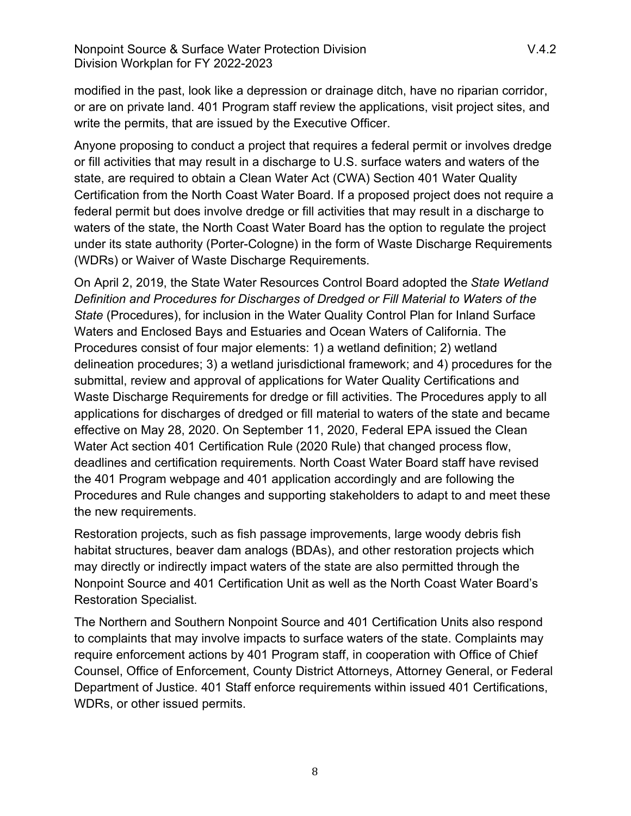modified in the past, look like a depression or drainage ditch, have no riparian corridor, or are on private land. 401 Program staff review the applications, visit project sites, and write the permits, that are issued by the Executive Officer.

Anyone proposing to conduct a project that requires a federal permit or involves dredge or fill activities that may result in a discharge to U.S. surface waters and waters of the state, are required to obtain a Clean Water Act (CWA) Section 401 Water Quality Certification from the North Coast Water Board. If a proposed project does not require a federal permit but does involve dredge or fill activities that may result in a discharge to waters of the state, the North Coast Water Board has the option to regulate the project under its state authority (Porter-Cologne) in the form of Waste Discharge Requirements (WDRs) or Waiver of Waste Discharge Requirements.

On April 2, 2019, the State Water Resources Control Board adopted the *State Wetland Definition and Procedures for Discharges of Dredged or Fill Material to Waters of the State* (Procedures), for inclusion in the Water Quality Control Plan for Inland Surface Waters and Enclosed Bays and Estuaries and Ocean Waters of California. The Procedures consist of four major elements: 1) a wetland definition; 2) wetland delineation procedures; 3) a wetland jurisdictional framework; and 4) procedures for the submittal, review and approval of applications for Water Quality Certifications and Waste Discharge Requirements for dredge or fill activities. The Procedures apply to all applications for discharges of dredged or fill material to waters of the state and became effective on May 28, 2020. On September 11, 2020, Federal EPA issued the Clean Water Act section 401 Certification Rule (2020 Rule) that changed process flow, deadlines and certification requirements. North Coast Water Board staff have revised the 401 Program webpage and 401 application accordingly and are following the Procedures and Rule changes and supporting stakeholders to adapt to and meet these the new requirements.

Restoration projects, such as fish passage improvements, large woody debris fish habitat structures, beaver dam analogs (BDAs), and other restoration projects which may directly or indirectly impact waters of the state are also permitted through the Nonpoint Source and 401 Certification Unit as well as the North Coast Water Board's Restoration Specialist.

The Northern and Southern Nonpoint Source and 401 Certification Units also respond to complaints that may involve impacts to surface waters of the state. Complaints may require enforcement actions by 401 Program staff, in cooperation with Office of Chief Counsel, Office of Enforcement, County District Attorneys, Attorney General, or Federal Department of Justice. 401 Staff enforce requirements within issued 401 Certifications, WDRs, or other issued permits.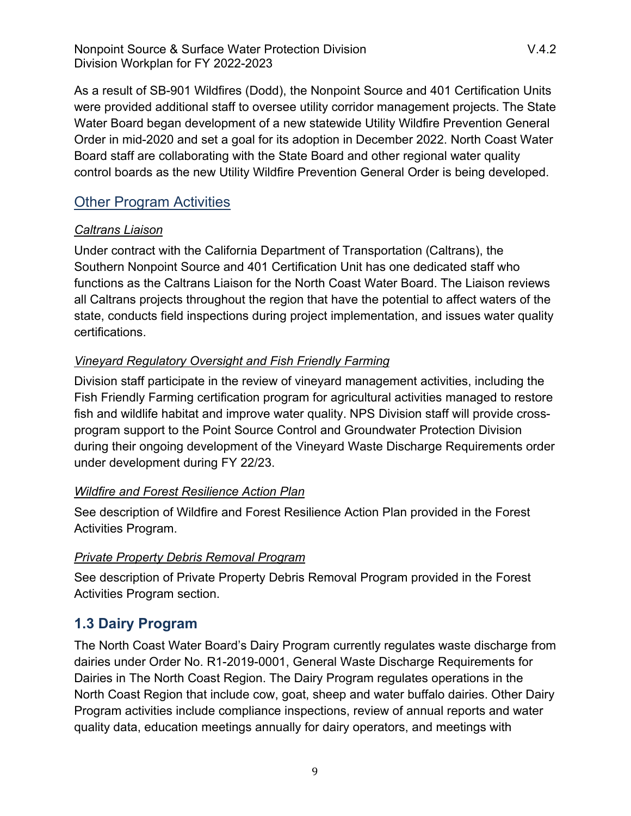Nonpoint Source & Surface Water Protection Division Number 2014.2 Division Workplan for FY 2022-2023

As a result of SB-901 Wildfires (Dodd), the Nonpoint Source and 401 Certification Units were provided additional staff to oversee utility corridor management projects. The State Water Board began development of a new statewide Utility Wildfire Prevention General Order in mid-2020 and set a goal for its adoption in December 2022. North Coast Water Board staff are collaborating with the State Board and other regional water quality control boards as the new Utility Wildfire Prevention General Order is being developed.

# Other Program Activities

#### *Caltrans Liaison*

Under contract with the California Department of Transportation (Caltrans), the Southern Nonpoint Source and 401 Certification Unit has one dedicated staff who functions as the Caltrans Liaison for the North Coast Water Board. The Liaison reviews all Caltrans projects throughout the region that have the potential to affect waters of the state, conducts field inspections during project implementation, and issues water quality certifications.

# *Vineyard Regulatory Oversight and Fish Friendly Farming*

Division staff participate in the review of vineyard management activities, including the Fish Friendly Farming certification program for agricultural activities managed to restore fish and wildlife habitat and improve water quality. NPS Division staff will provide crossprogram support to the Point Source Control and Groundwater Protection Division during their ongoing development of the Vineyard Waste Discharge Requirements order under development during FY 22/23.

# *Wildfire and Forest Resilience Action Plan*

See description of Wildfire and Forest Resilience Action Plan provided in the Forest Activities Program.

# *Private Property Debris Removal Program*

See description of Private Property Debris Removal Program provided in the Forest Activities Program section.

# <span id="page-8-0"></span>**1.3 Dairy Program**

The North Coast Water Board's Dairy Program currently regulates waste discharge from dairies under Order No. R1-2019-0001, General Waste Discharge Requirements for Dairies in The North Coast Region. The Dairy Program regulates operations in the North Coast Region that include cow, goat, sheep and water buffalo dairies. Other Dairy Program activities include compliance inspections, review of annual reports and water quality data, education meetings annually for dairy operators, and meetings with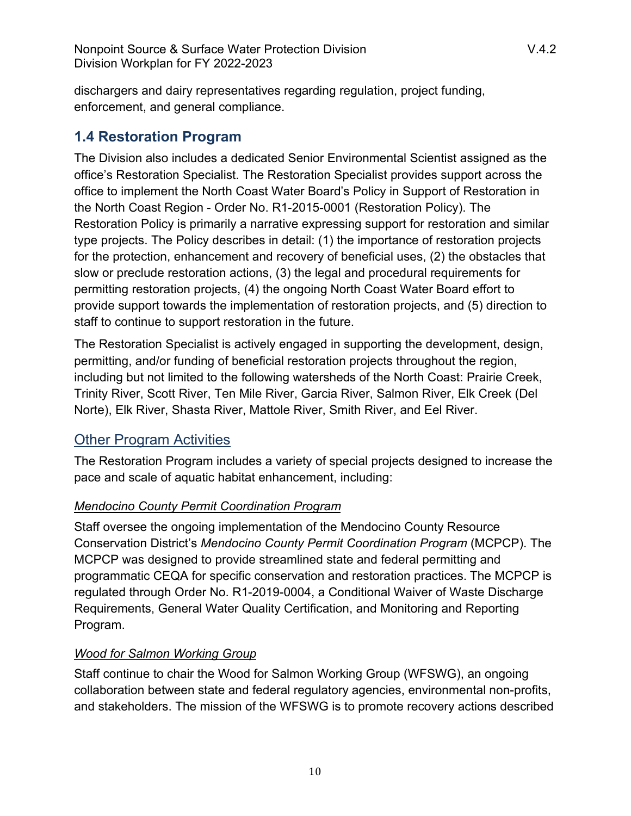dischargers and dairy representatives regarding regulation, project funding, enforcement, and general compliance.

# <span id="page-9-0"></span>**1.4 Restoration Program**

The Division also includes a dedicated Senior Environmental Scientist assigned as the office's Restoration Specialist. The Restoration Specialist provides support across the office to implement the North Coast Water Board's Policy in Support of Restoration in the North Coast Region - Order No. R1-2015-0001 (Restoration Policy). The Restoration Policy is primarily a narrative expressing support for restoration and similar type projects. The Policy describes in detail: (1) the importance of restoration projects for the protection, enhancement and recovery of beneficial uses, (2) the obstacles that slow or preclude restoration actions, (3) the legal and procedural requirements for permitting restoration projects, (4) the ongoing North Coast Water Board effort to provide support towards the implementation of restoration projects, and (5) direction to staff to continue to support restoration in the future.

The Restoration Specialist is actively engaged in supporting the development, design, permitting, and/or funding of beneficial restoration projects throughout the region, including but not limited to the following watersheds of the North Coast: Prairie Creek, Trinity River, Scott River, Ten Mile River, Garcia River, Salmon River, Elk Creek (Del Norte), Elk River, Shasta River, Mattole River, Smith River, and Eel River.

# **Other Program Activities**

The Restoration Program includes a variety of special projects designed to increase the pace and scale of aquatic habitat enhancement, including:

# *Mendocino County Permit Coordination Program*

Staff oversee the ongoing implementation of the Mendocino County Resource Conservation District's *Mendocino County Permit Coordination Program* (MCPCP). The MCPCP was designed to provide streamlined state and federal permitting and programmatic CEQA for specific conservation and restoration practices. The MCPCP is regulated through Order No. R1-2019-0004, a Conditional Waiver of Waste Discharge Requirements, General Water Quality Certification, and Monitoring and Reporting Program.

# *Wood for Salmon Working Group*

Staff continue to chair the Wood for Salmon Working Group (WFSWG), an ongoing collaboration between state and federal regulatory agencies, environmental non-profits, and stakeholders. The mission of the WFSWG is to promote recovery actions described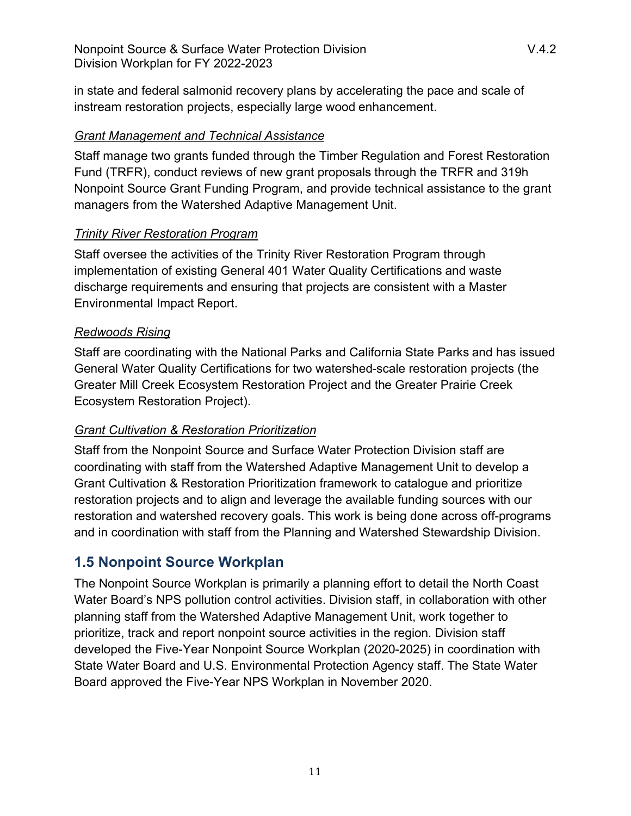in state and federal salmonid recovery plans by accelerating the pace and scale of instream restoration projects, especially large wood enhancement.

#### *Grant Management and Technical Assistance*

Staff manage two grants funded through the Timber Regulation and Forest Restoration Fund (TRFR), conduct reviews of new grant proposals through the TRFR and 319h Nonpoint Source Grant Funding Program, and provide technical assistance to the grant managers from the Watershed Adaptive Management Unit.

# *Trinity River Restoration Program*

Staff oversee the activities of the Trinity River Restoration Program through implementation of existing General 401 Water Quality Certifications and waste discharge requirements and ensuring that projects are consistent with a Master Environmental Impact Report.

#### *Redwoods Rising*

Staff are coordinating with the National Parks and California State Parks and has issued General Water Quality Certifications for two watershed-scale restoration projects (the Greater Mill Creek Ecosystem Restoration Project and the Greater Prairie Creek Ecosystem Restoration Project).

# *Grant Cultivation & Restoration Prioritization*

Staff from the Nonpoint Source and Surface Water Protection Division staff are coordinating with staff from the Watershed Adaptive Management Unit to develop a Grant Cultivation & Restoration Prioritization framework to catalogue and prioritize restoration projects and to align and leverage the available funding sources with our restoration and watershed recovery goals. This work is being done across off-programs and in coordination with staff from the Planning and Watershed Stewardship Division.

# <span id="page-10-0"></span>**1.5 Nonpoint Source Workplan**

The Nonpoint Source Workplan is primarily a planning effort to detail the North Coast Water Board's NPS pollution control activities. Division staff, in collaboration with other planning staff from the Watershed Adaptive Management Unit, work together to prioritize, track and report nonpoint source activities in the region. Division staff developed the Five-Year Nonpoint Source Workplan (2020-2025) in coordination with State Water Board and U.S. Environmental Protection Agency staff. The State Water Board approved the Five-Year NPS Workplan in November 2020.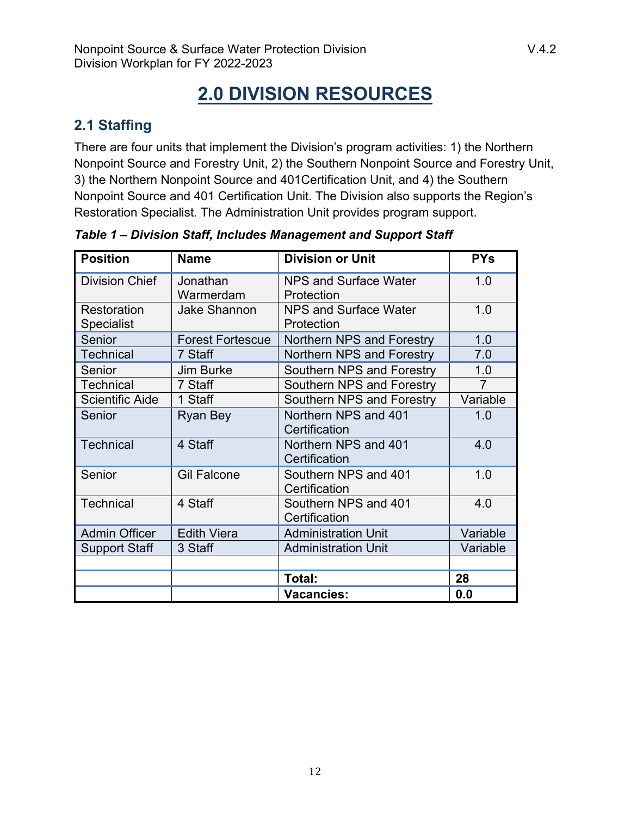# **2.0 DIVISION RESOURCES**

# <span id="page-11-1"></span><span id="page-11-0"></span>**2.1 Staffing**

There are four units that implement the Division's program activities: 1) the Northern Nonpoint Source and Forestry Unit, 2) the Southern Nonpoint Source and Forestry Unit, 3) the Northern Nonpoint Source and 401Certification Unit, and 4) the Southern Nonpoint Source and 401 Certification Unit. The Division also supports the Region's Restoration Specialist. The Administration Unit provides program support.

| <b>Position</b>        | <b>Name</b>             | <b>Division or Unit</b>      | <b>PYs</b>     |
|------------------------|-------------------------|------------------------------|----------------|
| <b>Division Chief</b>  | Jonathan                | NPS and Surface Water        | 1.0            |
|                        | Warmerdam               | Protection                   |                |
| Restoration            | <b>Jake Shannon</b>     | <b>NPS and Surface Water</b> | 1.0            |
| <b>Specialist</b>      |                         | Protection                   |                |
| Senior                 | <b>Forest Fortescue</b> | Northern NPS and Forestry    | 1.0            |
| <b>Technical</b>       | 7 Staff                 | Northern NPS and Forestry    | 7.0            |
| Senior                 | <b>Jim Burke</b>        | Southern NPS and Forestry    | 1.0            |
| <b>Technical</b>       | 7 Staff                 | Southern NPS and Forestry    | $\overline{7}$ |
| <b>Scientific Aide</b> | 1 Staff                 | Southern NPS and Forestry    | Variable       |
| Senior                 | Ryan Bey                | Northern NPS and 401         | 1.0            |
|                        |                         | Certification                |                |
| <b>Technical</b>       | 4 Staff                 | Northern NPS and 401         | 4.0            |
|                        |                         | Certification                |                |
| Senior                 | <b>Gil Falcone</b>      | Southern NPS and 401         | 1.0            |
|                        |                         | Certification                |                |
| <b>Technical</b>       | 4 Staff                 | Southern NPS and 401         | 4.0            |
|                        |                         | Certification                |                |
| <b>Admin Officer</b>   | <b>Edith Viera</b>      | <b>Administration Unit</b>   | Variable       |
| <b>Support Staff</b>   | 3 Staff                 | <b>Administration Unit</b>   | Variable       |
|                        |                         |                              |                |
|                        |                         | Total:                       | 28             |
|                        |                         | <b>Vacancies:</b>            | 0.0            |

*Table 1 – Division Staff, Includes Management and Support Staff*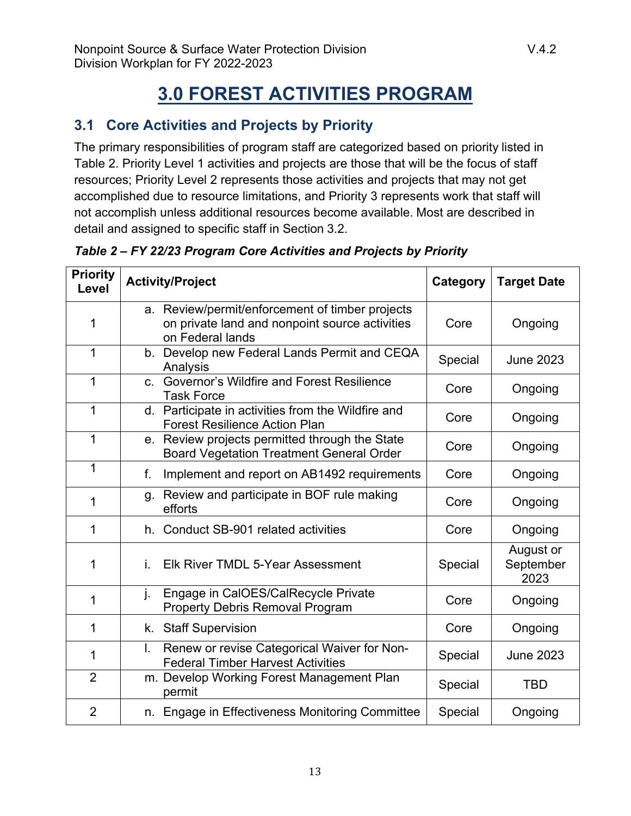# **3.0 FOREST ACTIVITIES PROGRAM**

# <span id="page-12-1"></span><span id="page-12-0"></span>**3.1 Core Activities and Projects by Priority**

The primary responsibilities of program staff are categorized based on priority listed in Table 2. Priority Level 1 activities and projects are those that will be the focus of staff resources; Priority Level 2 represents those activities and projects that may not get accomplished due to resource limitations, and Priority 3 represents work that staff will not accomplish unless additional resources become available. Most are described in detail and assigned to specific staff in Section 3.2.

| <b>Priority</b><br>Level |                                                                                               | <b>Activity/Project</b>                                                                                               | Category | <b>Target Date</b>             |
|--------------------------|-----------------------------------------------------------------------------------------------|-----------------------------------------------------------------------------------------------------------------------|----------|--------------------------------|
| 1                        |                                                                                               | a. Review/permit/enforcement of timber projects<br>on private land and nonpoint source activities<br>on Federal lands |          | Ongoing                        |
| 1                        |                                                                                               | b. Develop new Federal Lands Permit and CEQA<br>Analysis                                                              | Special  | <b>June 2023</b>               |
| 1                        |                                                                                               | c. Governor's Wildfire and Forest Resilience<br><b>Task Force</b>                                                     | Core     | Ongoing                        |
| 1                        |                                                                                               | d. Participate in activities from the Wildfire and<br><b>Forest Resilience Action Plan</b>                            | Core     | Ongoing                        |
| 1                        |                                                                                               | e. Review projects permitted through the State<br><b>Board Vegetation Treatment General Order</b>                     | Core     | Ongoing                        |
| 1                        | f.                                                                                            | Implement and report on AB1492 requirements                                                                           |          | Ongoing                        |
| 1                        | q.                                                                                            | Review and participate in BOF rule making<br>efforts                                                                  |          | Ongoing                        |
| 1                        |                                                                                               | h. Conduct SB-901 related activities                                                                                  |          | Ongoing                        |
| 1                        | Elk River TMDL 5-Year Assessment<br>İ.                                                        |                                                                                                                       | Special  | August or<br>September<br>2023 |
| 1                        | j.                                                                                            | Engage in CalOES/CalRecycle Private<br><b>Property Debris Removal Program</b>                                         |          | Ongoing                        |
| 1                        |                                                                                               | k. Staff Supervision                                                                                                  |          | Ongoing                        |
| 1                        | Renew or revise Categorical Waiver for Non-<br>I.<br><b>Federal Timber Harvest Activities</b> |                                                                                                                       | Special  | <b>June 2023</b>               |
| $\overline{2}$           | m. Develop Working Forest Management Plan<br>permit                                           |                                                                                                                       | Special  | TBD                            |
| $\overline{2}$           |                                                                                               | n. Engage in Effectiveness Monitoring Committee                                                                       |          | Ongoing                        |

*Table 2 – FY 22/23 Program Core Activities and Projects by Priority*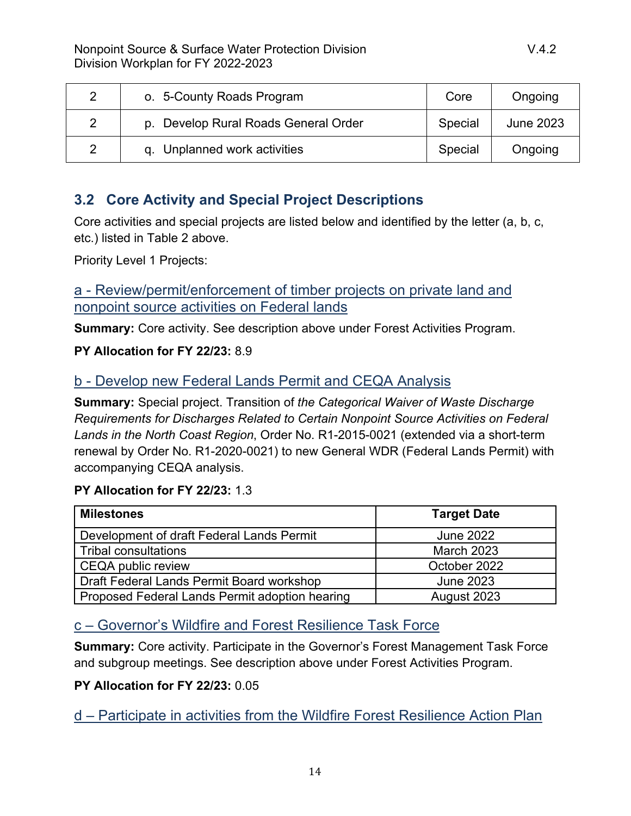| o. 5-County Roads Program            | Core    | Ongoing          |
|--------------------------------------|---------|------------------|
| p. Develop Rural Roads General Order | Special | <b>June 2023</b> |
| q. Unplanned work activities         | Special | Ongoing          |

# <span id="page-13-0"></span>**3.2 Core Activity and Special Project Descriptions**

Core activities and special projects are listed below and identified by the letter (a, b, c, etc.) listed in Table 2 above.

Priority Level 1 Projects:

a - Review/permit/enforcement of timber projects on private land and nonpoint source activities on Federal lands

**Summary:** Core activity. See description above under Forest Activities Program.

#### **PY Allocation for FY 22/23:** 8.9

# b - Develop new Federal Lands Permit and CEQA Analysis

**Summary:** Special project. Transition of *the Categorical Waiver of Waste Discharge Requirements for Discharges Related to Certain Nonpoint Source Activities on Federal Lands in the North Coast Region*, Order No. R1-2015-0021 (extended via a short-term renewal by Order No. R1-2020-0021) to new General WDR (Federal Lands Permit) with accompanying CEQA analysis.

# **PY Allocation for FY 22/23:** 1.3

| <b>Milestones</b>                              | <b>Target Date</b> |
|------------------------------------------------|--------------------|
| Development of draft Federal Lands Permit      | <b>June 2022</b>   |
| <b>Tribal consultations</b>                    | <b>March 2023</b>  |
| <b>CEQA public review</b>                      | October 2022       |
| Draft Federal Lands Permit Board workshop      | <b>June 2023</b>   |
| Proposed Federal Lands Permit adoption hearing | August 2023        |

# c – Governor's Wildfire and Forest Resilience Task Force

**Summary:** Core activity. Participate in the Governor's Forest Management Task Force and subgroup meetings. See description above under Forest Activities Program.

# **PY Allocation for FY 22/23:** 0.05

d – Participate in activities from the Wildfire Forest Resilience Action Plan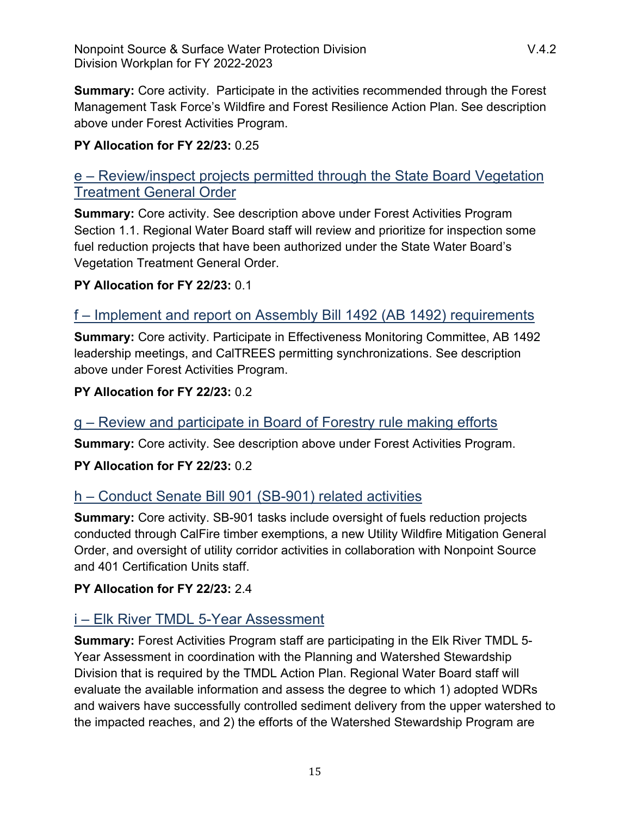**Summary:** Core activity. Participate in the activities recommended through the Forest Management Task Force's Wildfire and Forest Resilience Action Plan. See description above under Forest Activities Program.

#### **PY Allocation for FY 22/23:** 0.25

# e – Review/inspect projects permitted through the State Board Vegetation Treatment General Order

**Summary:** Core activity. See description above under Forest Activities Program Section 1.1. Regional Water Board staff will review and prioritize for inspection some fuel reduction projects that have been authorized under the State Water Board's Vegetation Treatment General Order.

#### **PY Allocation for FY 22/23:** 0.1

# f – Implement and report on Assembly Bill 1492 (AB 1492) requirements

**Summary:** Core activity. Participate in Effectiveness Monitoring Committee, AB 1492 leadership meetings, and CalTREES permitting synchronizations. See description above under Forest Activities Program.

#### **PY Allocation for FY 22/23:** 0.2

# g – Review and participate in Board of Forestry rule making efforts

**Summary:** Core activity. See description above under Forest Activities Program.

#### **PY Allocation for FY 22/23:** 0.2

# h – Conduct Senate Bill 901 (SB-901) related activities

**Summary:** Core activity. SB-901 tasks include oversight of fuels reduction projects conducted through CalFire timber exemptions, a new Utility Wildfire Mitigation General Order, and oversight of utility corridor activities in collaboration with Nonpoint Source and 401 Certification Units staff.

#### **PY Allocation for FY 22/23:** 2.4

# i – Elk River TMDL 5-Year Assessment

**Summary:** Forest Activities Program staff are participating in the Elk River TMDL 5- Year Assessment in coordination with the Planning and Watershed Stewardship Division that is required by the TMDL Action Plan. Regional Water Board staff will evaluate the available information and assess the degree to which 1) adopted WDRs and waivers have successfully controlled sediment delivery from the upper watershed to the impacted reaches, and 2) the efforts of the Watershed Stewardship Program are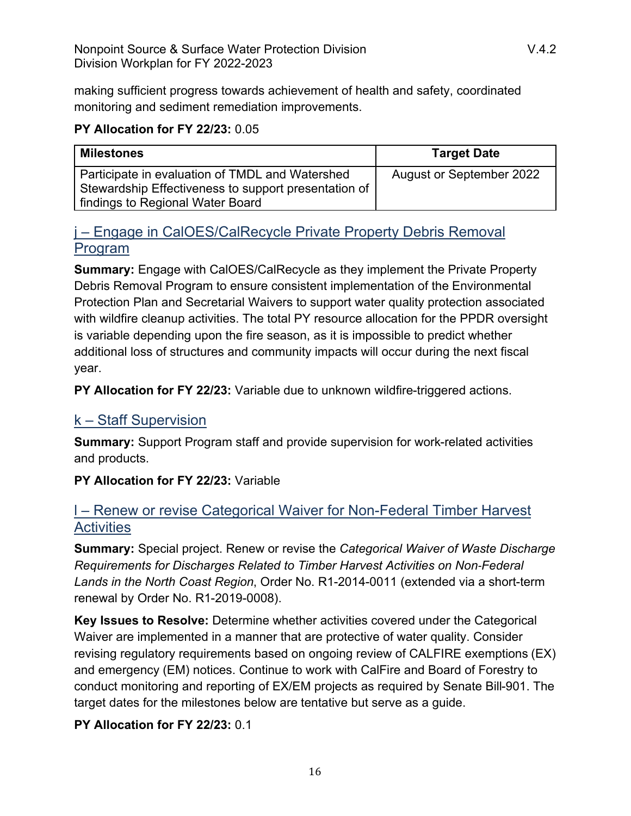making sufficient progress towards achievement of health and safety, coordinated monitoring and sediment remediation improvements.

#### **PY Allocation for FY 22/23:** 0.05

| <b>Milestones</b>                                                                                                                           | <b>Target Date</b>              |
|---------------------------------------------------------------------------------------------------------------------------------------------|---------------------------------|
| Participate in evaluation of TMDL and Watershed<br>Stewardship Effectiveness to support presentation of<br>findings to Regional Water Board | <b>August or September 2022</b> |

# j – Engage in CalOES/CalRecycle Private Property Debris Removal Program

**Summary:** Engage with CalOES/CalRecycle as they implement the Private Property Debris Removal Program to ensure consistent implementation of the Environmental Protection Plan and Secretarial Waivers to support water quality protection associated with wildfire cleanup activities. The total PY resource allocation for the PPDR oversight is variable depending upon the fire season, as it is impossible to predict whether additional loss of structures and community impacts will occur during the next fiscal year.

**PY Allocation for FY 22/23:** Variable due to unknown wildfire-triggered actions.

# k – Staff Supervision

**Summary:** Support Program staff and provide supervision for work-related activities and products.

**PY Allocation for FY 22/23:** Variable

# l – Renew or revise Categorical Waiver for Non-Federal Timber Harvest **Activities**

**Summary:** Special project. Renew or revise the *Categorical Waiver of Waste Discharge Requirements for Discharges Related to Timber Harvest Activities on Non*‐*Federal Lands in the North Coast Region*, Order No. R1-2014-0011 (extended via a short-term renewal by Order No. R1-2019-0008).

**Key Issues to Resolve:** Determine whether activities covered under the Categorical Waiver are implemented in a manner that are protective of water quality. Consider revising regulatory requirements based on ongoing review of CALFIRE exemptions (EX) and emergency (EM) notices. Continue to work with CalFire and Board of Forestry to conduct monitoring and reporting of EX/EM projects as required by Senate Bill-901. The target dates for the milestones below are tentative but serve as a guide.

#### **PY Allocation for FY 22/23:** 0.1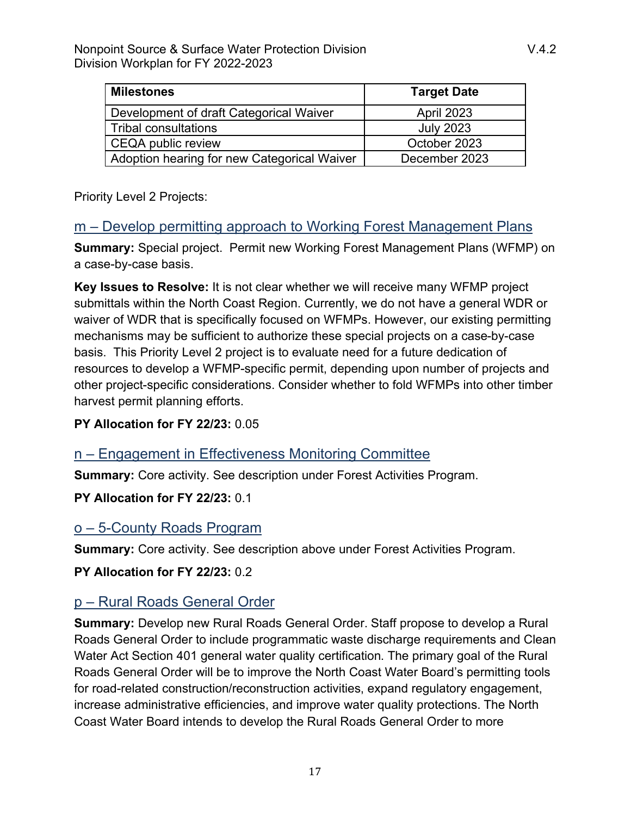| <b>Milestones</b>                           | <b>Target Date</b> |
|---------------------------------------------|--------------------|
| Development of draft Categorical Waiver     | <b>April 2023</b>  |
| <b>Tribal consultations</b>                 | <b>July 2023</b>   |
| <b>CEQA public review</b>                   | October 2023       |
| Adoption hearing for new Categorical Waiver | December 2023      |

Priority Level 2 Projects:

#### m – Develop permitting approach to Working Forest Management Plans

**Summary:** Special project. Permit new Working Forest Management Plans (WFMP) on a case-by-case basis.

**Key Issues to Resolve:** It is not clear whether we will receive many WFMP project submittals within the North Coast Region. Currently, we do not have a general WDR or waiver of WDR that is specifically focused on WFMPs. However, our existing permitting mechanisms may be sufficient to authorize these special projects on a case-by-case basis. This Priority Level 2 project is to evaluate need for a future dedication of resources to develop a WFMP-specific permit, depending upon number of projects and other project-specific considerations. Consider whether to fold WFMPs into other timber harvest permit planning efforts.

#### **PY Allocation for FY 22/23:** 0.05

# n – Engagement in Effectiveness Monitoring Committee

**Summary:** Core activity. See description under Forest Activities Program.

#### **PY Allocation for FY 22/23:** 0.1

# o – 5-County Roads Program

**Summary:** Core activity. See description above under Forest Activities Program.

**PY Allocation for FY 22/23:** 0.2

# p – Rural Roads General Order

**Summary:** Develop new Rural Roads General Order. Staff propose to develop a Rural Roads General Order to include programmatic waste discharge requirements and Clean Water Act Section 401 general water quality certification. The primary goal of the Rural Roads General Order will be to improve the North Coast Water Board's permitting tools for road-related construction/reconstruction activities, expand regulatory engagement, increase administrative efficiencies, and improve water quality protections. The North Coast Water Board intends to develop the Rural Roads General Order to more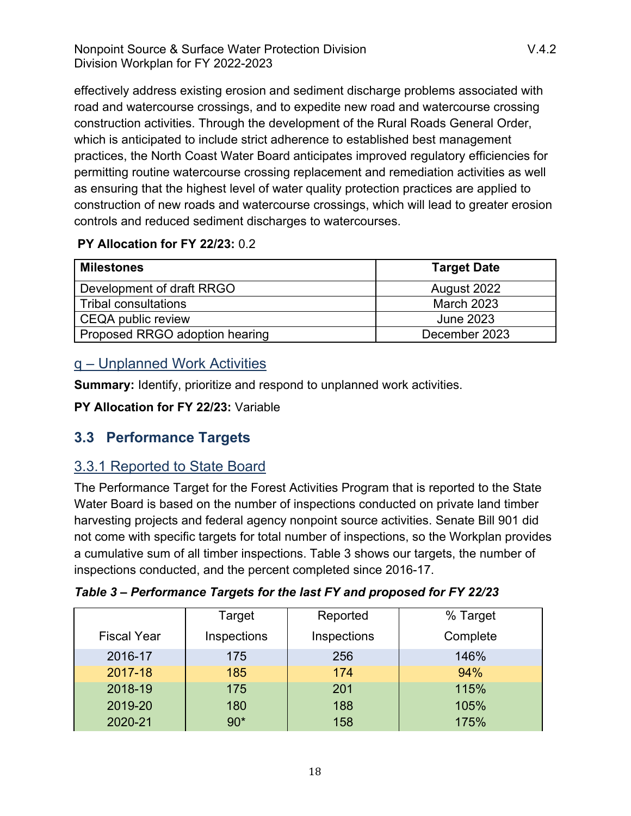effectively address existing erosion and sediment discharge problems associated with road and watercourse crossings, and to expedite new road and watercourse crossing construction activities. Through the development of the Rural Roads General Order, which is anticipated to include strict adherence to established best management practices, the North Coast Water Board anticipates improved regulatory efficiencies for permitting routine watercourse crossing replacement and remediation activities as well as ensuring that the highest level of water quality protection practices are applied to construction of new roads and watercourse crossings, which will lead to greater erosion controls and reduced sediment discharges to watercourses.

#### **PY Allocation for FY 22/23:** 0.2

| <b>Milestones</b>              | <b>Target Date</b> |
|--------------------------------|--------------------|
| Development of draft RRGO      | August 2022        |
| Tribal consultations           | <b>March 2023</b>  |
| <b>CEQA public review</b>      | <b>June 2023</b>   |
| Proposed RRGO adoption hearing | December 2023      |

# q – Unplanned Work Activities

**Summary:** Identify, prioritize and respond to unplanned work activities.

**PY Allocation for FY 22/23:** Variable

# <span id="page-17-0"></span>**3.3 Performance Targets**

# 3.3.1 Reported to State Board

The Performance Target for the Forest Activities Program that is reported to the State Water Board is based on the number of inspections conducted on private land timber harvesting projects and federal agency nonpoint source activities. Senate Bill 901 did not come with specific targets for total number of inspections, so the Workplan provides a cumulative sum of all timber inspections. Table 3 shows our targets, the number of inspections conducted, and the percent completed since 2016-17.

|                    | Target      | Reported    | % Target |
|--------------------|-------------|-------------|----------|
| <b>Fiscal Year</b> | Inspections | Inspections | Complete |
| 2016-17            | 175         | 256         | 146%     |
| 2017-18            | 185         | 174         | 94%      |
| 2018-19            | 175         | 201         | 115%     |
| 2019-20            | 180         | 188         | 105%     |
| 2020-21            | $90*$       | 158         | 175%     |

*Table 3 – Performance Targets for the last FY and proposed for FY 22/23*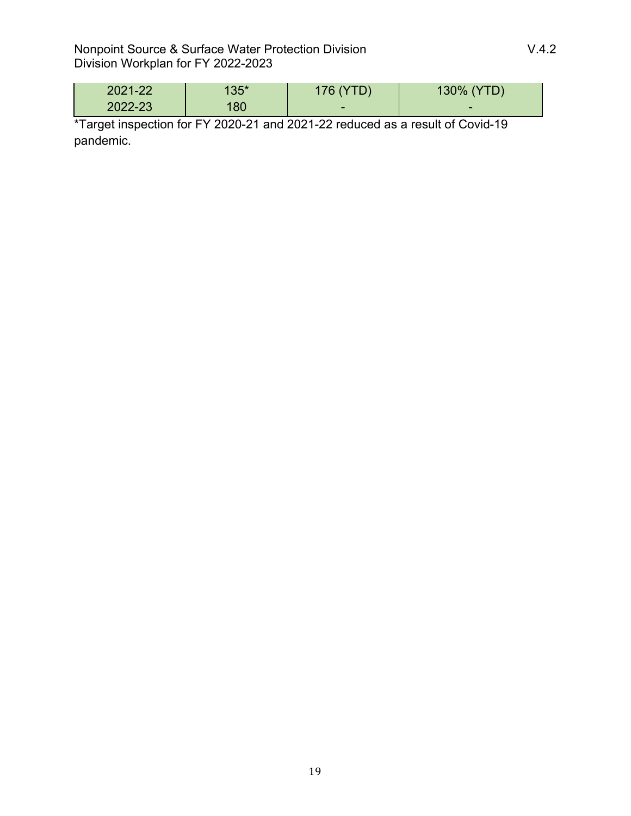| 2021-22 | $135*$ | 176 (YTD)                | 130% (YTD) |
|---------|--------|--------------------------|------------|
| 2022-23 | 80     | $\overline{\phantom{0}}$ | -          |

\*Target inspection for FY 2020-21 and 2021-22 reduced as a result of Covid-19 pandemic.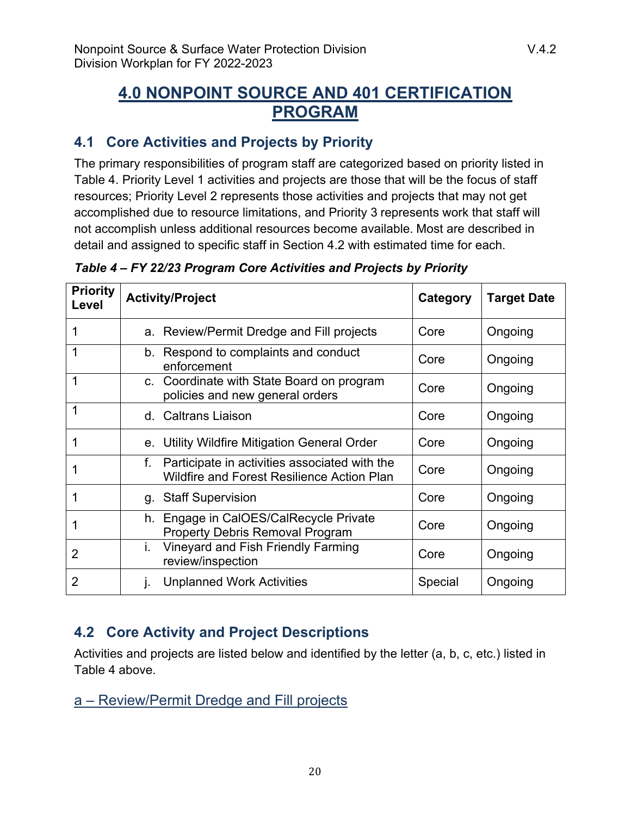# <span id="page-19-0"></span>**4.0 NONPOINT SOURCE AND 401 CERTIFICATION PROGRAM**

# <span id="page-19-1"></span>**4.1 Core Activities and Projects by Priority**

The primary responsibilities of program staff are categorized based on priority listed in Table 4. Priority Level 1 activities and projects are those that will be the focus of staff resources; Priority Level 2 represents those activities and projects that may not get accomplished due to resource limitations, and Priority 3 represents work that staff will not accomplish unless additional resources become available. Most are described in detail and assigned to specific staff in Section 4.2 with estimated time for each.

| <b>Priority</b><br>Level |    | <b>Activity/Project</b>                                                                            | Category | <b>Target Date</b> |
|--------------------------|----|----------------------------------------------------------------------------------------------------|----------|--------------------|
|                          |    | a. Review/Permit Dredge and Fill projects<br>Core                                                  |          | Ongoing            |
|                          |    | b. Respond to complaints and conduct<br>enforcement                                                | Core     | Ongoing            |
| 1                        |    | c. Coordinate with State Board on program<br>policies and new general orders                       | Core     | Ongoing            |
| 1                        |    | d. Caltrans Liaison                                                                                | Core     | Ongoing            |
|                          | е. | Utility Wildfire Mitigation General Order                                                          | Core     | Ongoing            |
|                          | f. | Participate in activities associated with the<br><b>Wildfire and Forest Resilience Action Plan</b> |          | Ongoing            |
| 1                        |    | g. Staff Supervision                                                                               | Core     | Ongoing            |
|                          |    | h. Engage in CalOES/CalRecycle Private<br><b>Property Debris Removal Program</b>                   | Core     | Ongoing            |
| 2                        | i. | Vineyard and Fish Friendly Farming<br>review/inspection                                            | Core     | Ongoing            |
| $\overline{2}$           | ı. | <b>Unplanned Work Activities</b>                                                                   | Special  | Ongoing            |

*Table 4 – FY 22/23 Program Core Activities and Projects by Priority*

# <span id="page-19-2"></span>**4.2 Core Activity and Project Descriptions**

Activities and projects are listed below and identified by the letter (a, b, c, etc.) listed in Table 4 above.

a – Review/Permit Dredge and Fill projects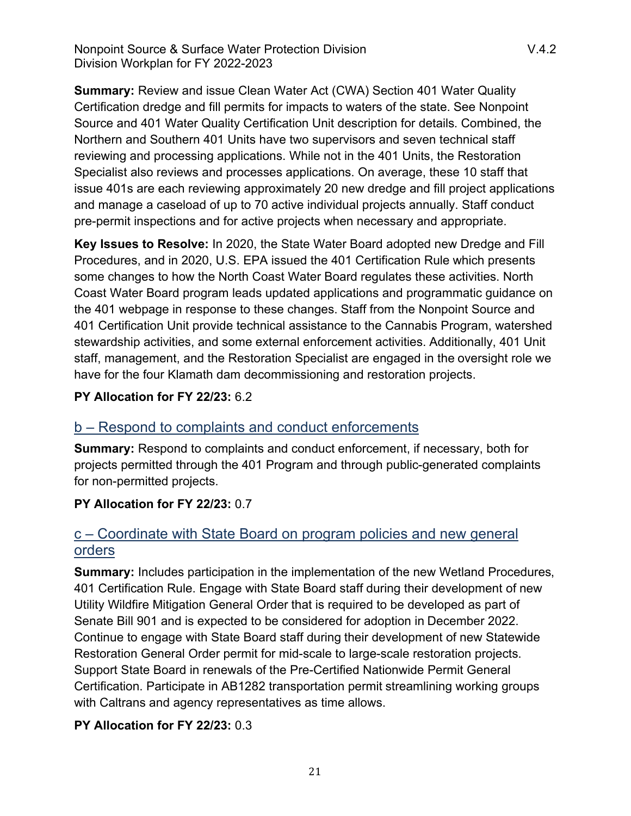**Summary:** Review and issue Clean Water Act (CWA) Section 401 Water Quality Certification dredge and fill permits for impacts to waters of the state. See Nonpoint Source and 401 Water Quality Certification Unit description for details. Combined, the Northern and Southern 401 Units have two supervisors and seven technical staff reviewing and processing applications. While not in the 401 Units, the Restoration Specialist also reviews and processes applications. On average, these 10 staff that issue 401s are each reviewing approximately 20 new dredge and fill project applications and manage a caseload of up to 70 active individual projects annually. Staff conduct pre-permit inspections and for active projects when necessary and appropriate.

**Key Issues to Resolve:** In 2020, the State Water Board adopted new Dredge and Fill Procedures, and in 2020, U.S. EPA issued the 401 Certification Rule which presents some changes to how the North Coast Water Board regulates these activities. North Coast Water Board program leads updated applications and programmatic guidance on the 401 webpage in response to these changes. Staff from the Nonpoint Source and 401 Certification Unit provide technical assistance to the Cannabis Program, watershed stewardship activities, and some external enforcement activities. Additionally, 401 Unit staff, management, and the Restoration Specialist are engaged in the oversight role we have for the four Klamath dam decommissioning and restoration projects.

#### **PY Allocation for FY 22/23:** 6.2

# b – Respond to complaints and conduct enforcements

**Summary:** Respond to complaints and conduct enforcement, if necessary, both for projects permitted through the 401 Program and through public-generated complaints for non-permitted projects.

#### **PY Allocation for FY 22/23:** 0.7

# c – Coordinate with State Board on program policies and new general orders

**Summary:** Includes participation in the implementation of the new Wetland Procedures, 401 Certification Rule. Engage with State Board staff during their development of new Utility Wildfire Mitigation General Order that is required to be developed as part of Senate Bill 901 and is expected to be considered for adoption in December 2022. Continue to engage with State Board staff during their development of new Statewide Restoration General Order permit for mid-scale to large-scale restoration projects. Support State Board in renewals of the Pre-Certified Nationwide Permit General Certification. Participate in AB1282 transportation permit streamlining working groups with Caltrans and agency representatives as time allows.

#### **PY Allocation for FY 22/23:** 0.3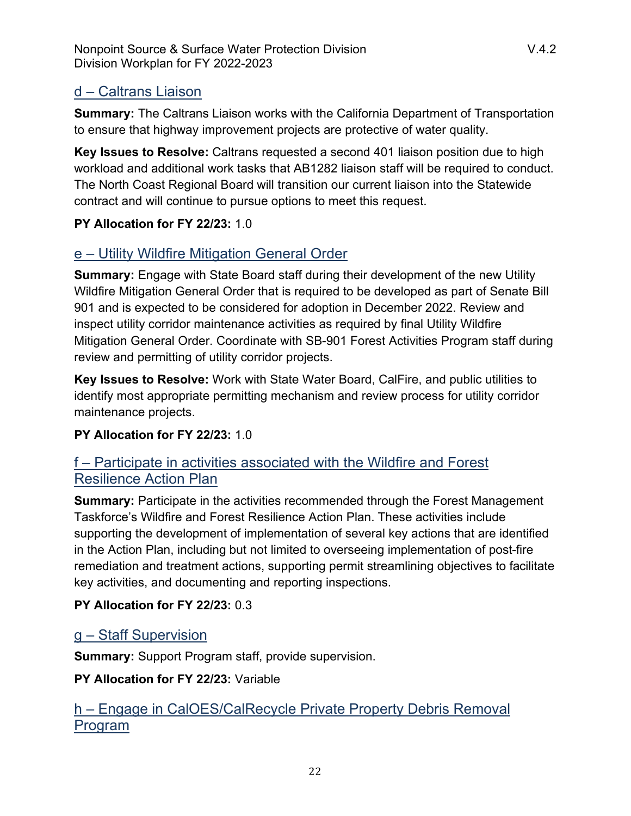# d – Caltrans Liaison

**Summary:** The Caltrans Liaison works with the California Department of Transportation to ensure that highway improvement projects are protective of water quality.

**Key Issues to Resolve:** Caltrans requested a second 401 liaison position due to high workload and additional work tasks that AB1282 liaison staff will be required to conduct. The North Coast Regional Board will transition our current liaison into the Statewide contract and will continue to pursue options to meet this request.

# **PY Allocation for FY 22/23:** 1.0

# e – Utility Wildfire Mitigation General Order

**Summary:** Engage with State Board staff during their development of the new Utility Wildfire Mitigation General Order that is required to be developed as part of Senate Bill 901 and is expected to be considered for adoption in December 2022. Review and inspect utility corridor maintenance activities as required by final Utility Wildfire Mitigation General Order. Coordinate with SB-901 Forest Activities Program staff during review and permitting of utility corridor projects.

**Key Issues to Resolve:** Work with State Water Board, CalFire, and public utilities to identify most appropriate permitting mechanism and review process for utility corridor maintenance projects.

# **PY Allocation for FY 22/23:** 1.0

# f – Participate in activities associated with the Wildfire and Forest Resilience Action Plan

**Summary:** Participate in the activities recommended through the Forest Management Taskforce's Wildfire and Forest Resilience Action Plan. These activities include supporting the development of implementation of several key actions that are identified in the Action Plan, including but not limited to overseeing implementation of post-fire remediation and treatment actions, supporting permit streamlining objectives to facilitate key activities, and documenting and reporting inspections.

# **PY Allocation for FY 22/23:** 0.3

# g – Staff Supervision

**Summary:** Support Program staff, provide supervision.

**PY Allocation for FY 22/23:** Variable

# h – Engage in CalOES/CalRecycle Private Property Debris Removal Program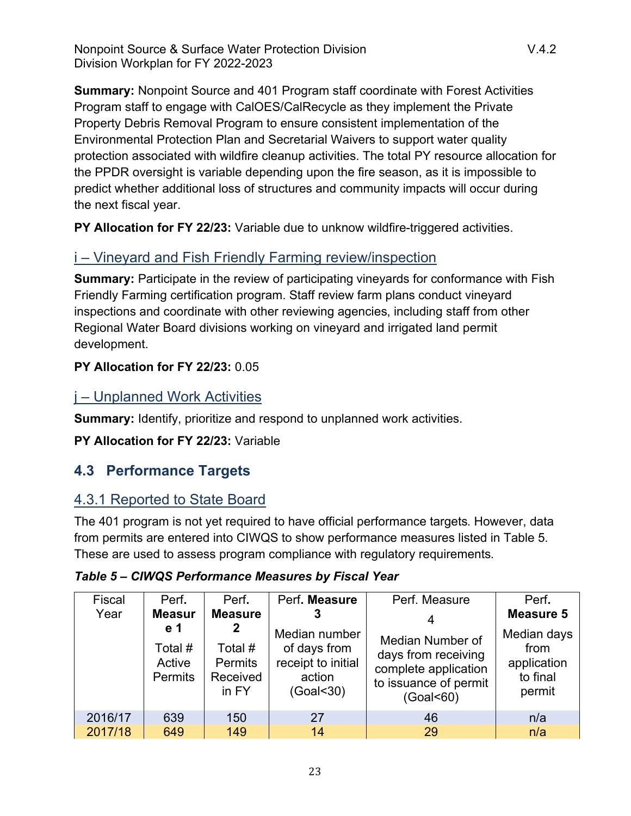Nonpoint Source & Surface Water Protection Division Number 2014.2 Division Workplan for FY 2022-2023

**Summary:** Nonpoint Source and 401 Program staff coordinate with Forest Activities Program staff to engage with CalOES/CalRecycle as they implement the Private Property Debris Removal Program to ensure consistent implementation of the Environmental Protection Plan and Secretarial Waivers to support water quality protection associated with wildfire cleanup activities. The total PY resource allocation for the PPDR oversight is variable depending upon the fire season, as it is impossible to predict whether additional loss of structures and community impacts will occur during the next fiscal year.

**PY Allocation for FY 22/23:** Variable due to unknow wildfire-triggered activities.

# i – Vineyard and Fish Friendly Farming review/inspection

**Summary:** Participate in the review of participating vineyards for conformance with Fish Friendly Farming certification program. Staff review farm plans conduct vineyard inspections and coordinate with other reviewing agencies, including staff from other Regional Water Board divisions working on vineyard and irrigated land permit development.

# **PY Allocation for FY 22/23:** 0.05

# j – Unplanned Work Activities

**Summary:** Identify, prioritize and respond to unplanned work activities.

**PY Allocation for FY 22/23:** Variable

# <span id="page-22-0"></span>**4.3 Performance Targets**

# 4.3.1 Reported to State Board

The 401 program is not yet required to have official performance targets. However, data from permits are entered into CIWQS to show performance measures listed in Table 5. These are used to assess program compliance with regulatory requirements.

| Fiscal<br>Year | Perf.<br><b>Measur</b><br>e 1<br>Total #<br>Active<br>Permits | Perf.<br><b>Measure</b><br>2<br>Total #<br><b>Permits</b><br>Received<br>in FY | Perf. Measure<br>Median number<br>of days from<br>receipt to initial<br>action<br>(Goal<30) | Perf. Measure<br>Median Number of<br>days from receiving<br>complete application<br>to issuance of permit<br>(Goal < 60) | Perf.<br><b>Measure 5</b><br>Median days<br>from<br>application<br>to final<br>permit |
|----------------|---------------------------------------------------------------|--------------------------------------------------------------------------------|---------------------------------------------------------------------------------------------|--------------------------------------------------------------------------------------------------------------------------|---------------------------------------------------------------------------------------|
| 2016/17        | 639                                                           | 150                                                                            | 27                                                                                          | 46                                                                                                                       | n/a                                                                                   |
| 2017/18        | 649                                                           | 149                                                                            | 14                                                                                          | 29                                                                                                                       | n/a                                                                                   |

# *Table 5 – CIWQS Performance Measures by Fiscal Year*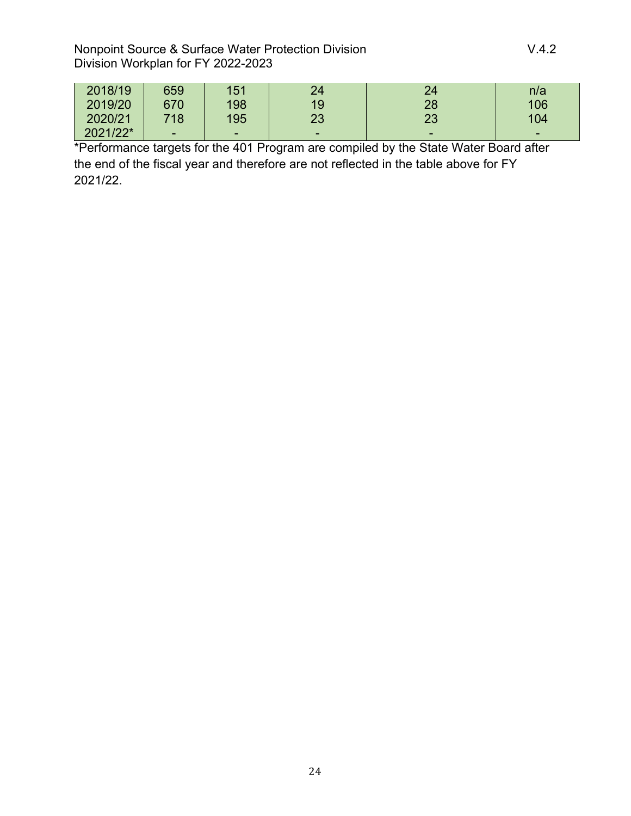| 2018/19  | 659                      | 151 | 24       | 24                       | n/a |
|----------|--------------------------|-----|----------|--------------------------|-----|
| 2019/20  | 670                      | 198 | 19       | 28                       | 106 |
| 2020/21  | 718                      | 195 | າາ<br>دے | 23                       | 104 |
| 2021/22* | $\overline{\phantom{0}}$ | -   | -        | $\overline{\phantom{0}}$ | -   |

\*Performance targets for the 401 Program are compiled by the State Water Board after the end of the fiscal year and therefore are not reflected in the table above for FY 2021/22.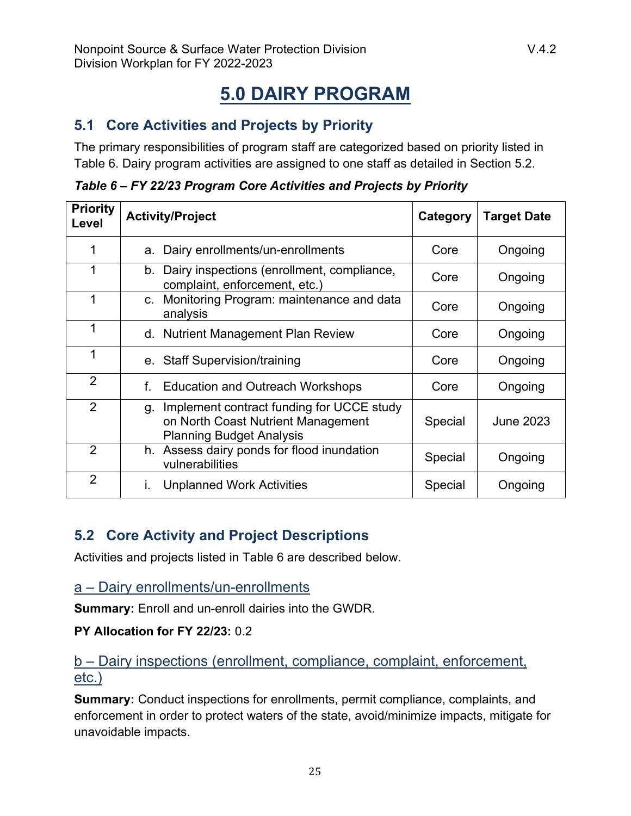# **5.0 DAIRY PROGRAM**

# <span id="page-24-1"></span><span id="page-24-0"></span>**5.1 Core Activities and Projects by Priority**

The primary responsibilities of program staff are categorized based on priority listed in Table 6. Dairy program activities are assigned to one staff as detailed in Section 5.2.

|  |  | Table 6 - FY 22/23 Program Core Activities and Projects by Priority |  |  |
|--|--|---------------------------------------------------------------------|--|--|
|--|--|---------------------------------------------------------------------|--|--|

| <b>Priority</b><br>Level | <b>Activity/Project</b>                                                                                                  | Category | <b>Target Date</b> |
|--------------------------|--------------------------------------------------------------------------------------------------------------------------|----------|--------------------|
|                          | Dairy enrollments/un-enrollments<br>a.                                                                                   | Core     | Ongoing            |
|                          | Dairy inspections (enrollment, compliance,<br>b.<br>complaint, enforcement, etc.)                                        | Core     | Ongoing            |
| 1                        | Monitoring Program: maintenance and data<br>$C_{\cdot}$<br>analysis                                                      | Core     | Ongoing            |
| 1                        | d. Nutrient Management Plan Review                                                                                       | Core     | Ongoing            |
| 1                        | e. Staff Supervision/training                                                                                            | Core     | Ongoing            |
| $\overline{2}$           | <b>Education and Outreach Workshops</b><br>f.                                                                            | Core     | Ongoing            |
| 2                        | Implement contract funding for UCCE study<br>g.<br>on North Coast Nutrient Management<br><b>Planning Budget Analysis</b> | Special  | <b>June 2023</b>   |
| 2                        | h. Assess dairy ponds for flood inundation<br>vulnerabilities                                                            | Special  | Ongoing            |
| $\overline{2}$           | <b>Unplanned Work Activities</b><br>L.                                                                                   | Special  | Ongoing            |

# <span id="page-24-2"></span>**5.2 Core Activity and Project Descriptions**

Activities and projects listed in Table 6 are described below.

a – Dairy enrollments/un-enrollments

**Summary:** Enroll and un-enroll dairies into the GWDR.

#### **PY Allocation for FY 22/23:** 0.2

b – Dairy inspections (enrollment, compliance, complaint, enforcement, etc.)

**Summary:** Conduct inspections for enrollments, permit compliance, complaints, and enforcement in order to protect waters of the state, avoid/minimize impacts, mitigate for unavoidable impacts.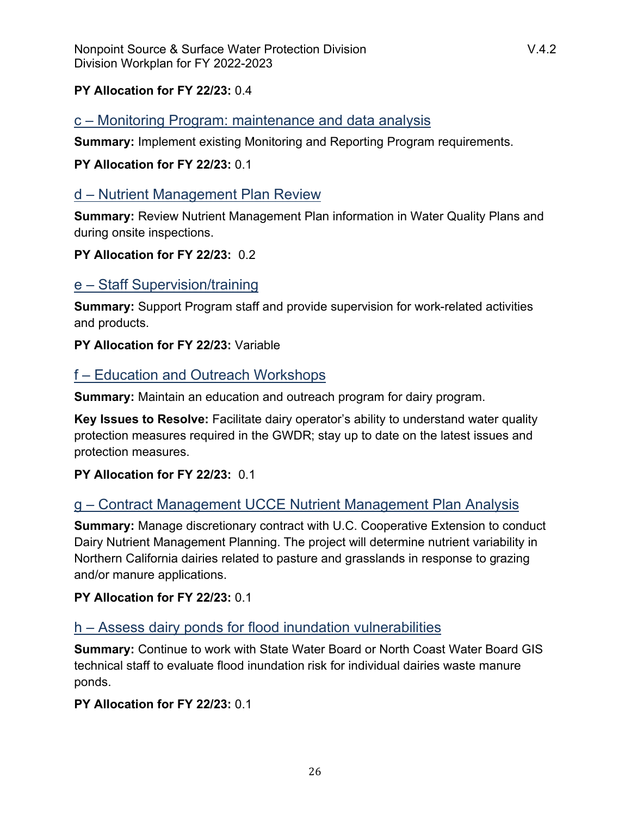#### **PY Allocation for FY 22/23:** 0.4

# c – Monitoring Program: maintenance and data analysis

**Summary:** Implement existing Monitoring and Reporting Program requirements.

#### **PY Allocation for FY 22/23:** 0.1

# d – Nutrient Management Plan Review

**Summary:** Review Nutrient Management Plan information in Water Quality Plans and during onsite inspections.

#### **PY Allocation for FY 22/23:** 0.2

# e – Staff Supervision/training

**Summary:** Support Program staff and provide supervision for work-related activities and products.

#### **PY Allocation for FY 22/23:** Variable

# f – Education and Outreach Workshops

**Summary:** Maintain an education and outreach program for dairy program.

**Key Issues to Resolve:** Facilitate dairy operator's ability to understand water quality protection measures required in the GWDR; stay up to date on the latest issues and protection measures.

#### **PY Allocation for FY 22/23:** 0.1

# g – Contract Management UCCE Nutrient Management Plan Analysis

**Summary:** Manage discretionary contract with U.C. Cooperative Extension to conduct Dairy Nutrient Management Planning. The project will determine nutrient variability in Northern California dairies related to pasture and grasslands in response to grazing and/or manure applications.

#### **PY Allocation for FY 22/23:** 0.1

# h – Assess dairy ponds for flood inundation vulnerabilities

**Summary:** Continue to work with State Water Board or North Coast Water Board GIS technical staff to evaluate flood inundation risk for individual dairies waste manure ponds.

#### **PY Allocation for FY 22/23:** 0.1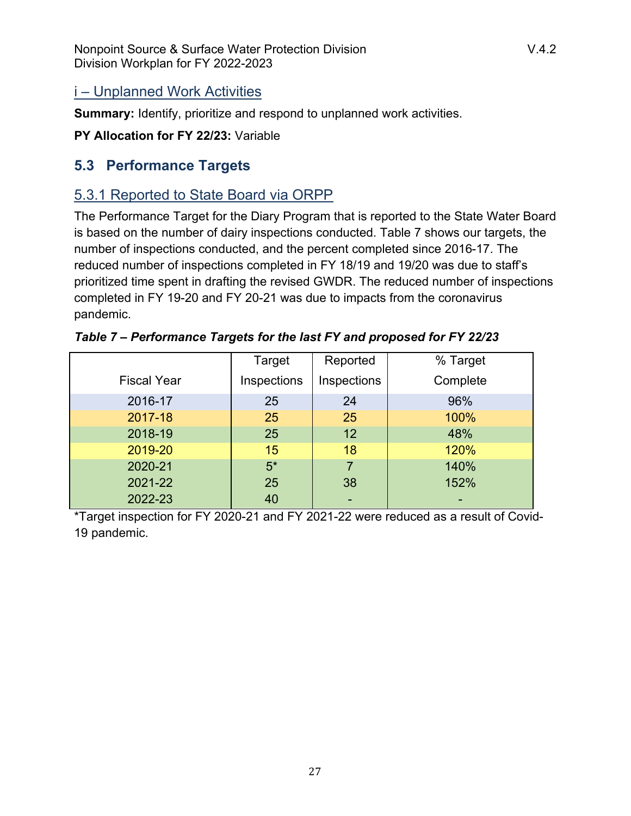# i – Unplanned Work Activities

**Summary:** Identify, prioritize and respond to unplanned work activities.

**PY Allocation for FY 22/23:** Variable

# <span id="page-26-0"></span>**5.3 Performance Targets**

# 5.3.1 Reported to State Board via ORPP

The Performance Target for the Diary Program that is reported to the State Water Board is based on the number of dairy inspections conducted. Table 7 shows our targets, the number of inspections conducted, and the percent completed since 2016-17. The reduced number of inspections completed in FY 18/19 and 19/20 was due to staff's prioritized time spent in drafting the revised GWDR. The reduced number of inspections completed in FY 19-20 and FY 20-21 was due to impacts from the coronavirus pandemic.

|                    | Target      | Reported    | % Target |
|--------------------|-------------|-------------|----------|
| <b>Fiscal Year</b> | Inspections | Inspections | Complete |
| 2016-17            | 25          | 24          | 96%      |
| 2017-18            | 25          | 25          | 100%     |
| 2018-19            | 25          | 12          | 48%      |
| 2019-20            | 15          | 18          | 120%     |
| 2020-21            | $5*$        | 7           | 140%     |
| 2021-22            | 25          | 38          | 152%     |
| 2022-23            | 40          |             |          |

*Table 7 – Performance Targets for the last FY and proposed for FY 22/23*

\*Target inspection for FY 2020-21 and FY 2021-22 were reduced as a result of Covid-19 pandemic.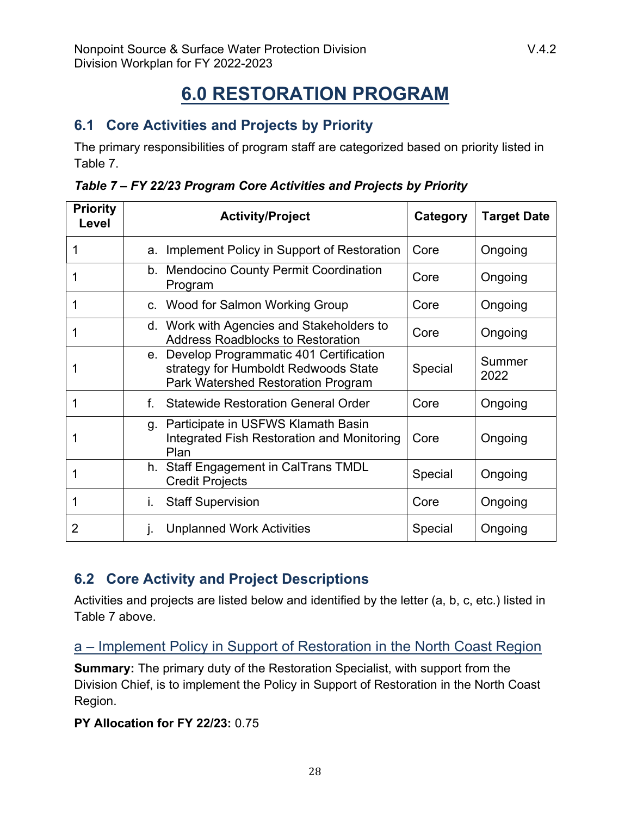# **6.0 RESTORATION PROGRAM**

# <span id="page-27-1"></span><span id="page-27-0"></span>**6.1 Core Activities and Projects by Priority**

The primary responsibilities of program staff are categorized based on priority listed in Table 7.

| <b>Priority</b><br>Level | <b>Activity/Project</b>                                                                                                 | Category | <b>Target Date</b> |
|--------------------------|-------------------------------------------------------------------------------------------------------------------------|----------|--------------------|
|                          | Implement Policy in Support of Restoration<br>a.                                                                        | Core     | Ongoing            |
|                          | b. Mendocino County Permit Coordination<br>Program                                                                      | Core     | Ongoing            |
|                          | c. Wood for Salmon Working Group                                                                                        | Core     | Ongoing            |
|                          | d. Work with Agencies and Stakeholders to<br><b>Address Roadblocks to Restoration</b>                                   | Core     | Ongoing            |
|                          | e. Develop Programmatic 401 Certification<br>strategy for Humboldt Redwoods State<br>Park Watershed Restoration Program | Special  | Summer<br>2022     |
|                          | f.<br><b>Statewide Restoration General Order</b>                                                                        | Core     | Ongoing            |
|                          | g. Participate in USFWS Klamath Basin<br><b>Integrated Fish Restoration and Monitoring</b><br>Plan                      | Core     | Ongoing            |
|                          | h. Staff Engagement in CalTrans TMDL<br><b>Credit Projects</b>                                                          | Special  | Ongoing            |
|                          | <b>Staff Supervision</b><br>İ.                                                                                          | Core     | Ongoing            |
| $\overline{2}$           | <b>Unplanned Work Activities</b><br>j.                                                                                  | Special  | Ongoing            |

|  |  | Table 7 - FY 22/23 Program Core Activities and Projects by Priority |  |  |  |
|--|--|---------------------------------------------------------------------|--|--|--|
|  |  |                                                                     |  |  |  |

# <span id="page-27-2"></span>**6.2 Core Activity and Project Descriptions**

Activities and projects are listed below and identified by the letter (a, b, c, etc.) listed in Table 7 above.

a – Implement Policy in Support of Restoration in the North Coast Region

**Summary:** The primary duty of the Restoration Specialist, with support from the Division Chief, is to implement the Policy in Support of Restoration in the North Coast Region.

#### **PY Allocation for FY 22/23:** 0.75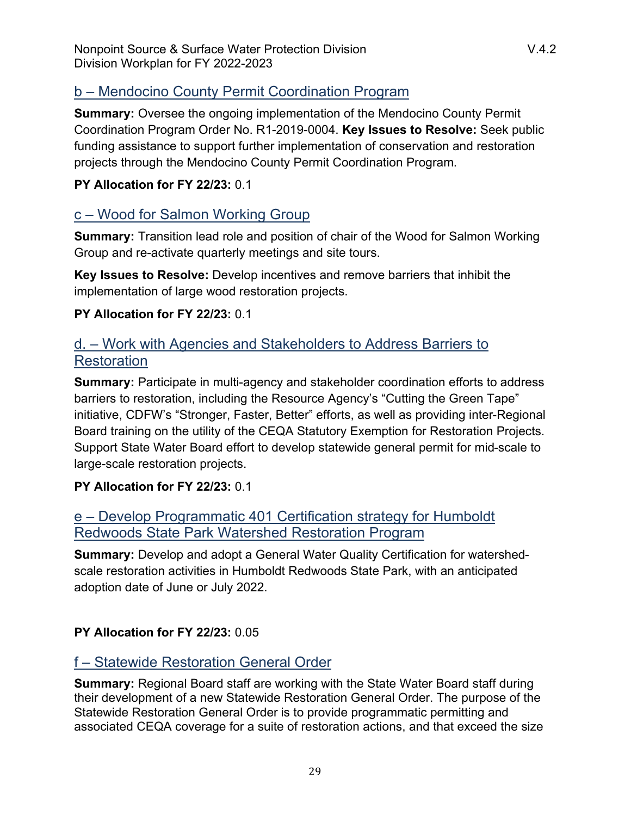# b – Mendocino County Permit Coordination Program

**Summary:** Oversee the ongoing implementation of the Mendocino County Permit Coordination Program Order No. R1-2019-0004. **Key Issues to Resolve:** Seek public funding assistance to support further implementation of conservation and restoration projects through the Mendocino County Permit Coordination Program.

#### **PY Allocation for FY 22/23:** 0.1

# c – Wood for Salmon Working Group

**Summary:** Transition lead role and position of chair of the Wood for Salmon Working Group and re-activate quarterly meetings and site tours.

**Key Issues to Resolve:** Develop incentives and remove barriers that inhibit the implementation of large wood restoration projects.

#### **PY Allocation for FY 22/23:** 0.1

# d. – Work with Agencies and Stakeholders to Address Barriers to **Restoration**

**Summary:** Participate in multi-agency and stakeholder coordination efforts to address barriers to restoration, including the Resource Agency's "Cutting the Green Tape" initiative, CDFW's "Stronger, Faster, Better" efforts, as well as providing inter-Regional Board training on the utility of the CEQA Statutory Exemption for Restoration Projects. Support State Water Board effort to develop statewide general permit for mid-scale to large-scale restoration projects.

#### **PY Allocation for FY 22/23:** 0.1

# e – Develop Programmatic 401 Certification strategy for Humboldt Redwoods State Park Watershed Restoration Program

**Summary:** Develop and adopt a General Water Quality Certification for watershedscale restoration activities in Humboldt Redwoods State Park, with an anticipated adoption date of June or July 2022.

#### **PY Allocation for FY 22/23:** 0.05

# f – Statewide Restoration General Order

**Summary:** Regional Board staff are working with the State Water Board staff during their development of a new Statewide Restoration General Order. The purpose of the Statewide Restoration General Order is to provide programmatic permitting and associated CEQA coverage for a suite of restoration actions, and that exceed the size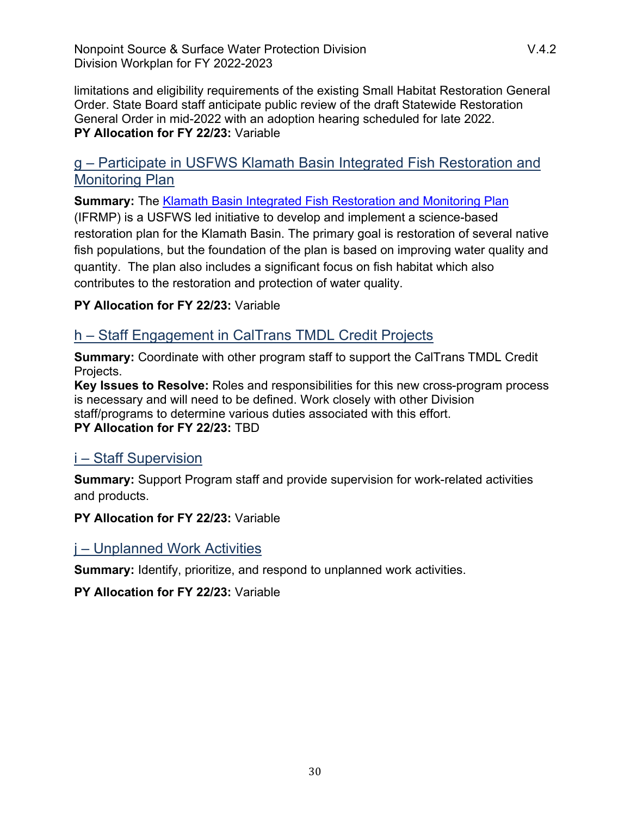limitations and eligibility requirements of the existing Small Habitat Restoration General Order. State Board staff anticipate public review of the draft Statewide Restoration General Order in mid-2022 with an adoption hearing scheduled for late 2022. **PY Allocation for FY 22/23:** Variable

# g – Participate in USFWS Klamath Basin Integrated Fish Restoration and Monitoring Plan

**Summary:** The [Klamath Basin Integrated Fish Restoration and Monitoring Plan](https://kbifrm.psmfc.org/#:~:text=The%20IFRMP%20(or%20Plan)%20will,native%20Klamath%20Basin%20fish%20populations)

(IFRMP) is a USFWS led initiative to develop and implement a science-based restoration plan for the Klamath Basin. The primary goal is restoration of several native fish populations, but the foundation of the plan is based on improving water quality and quantity. The plan also includes a significant focus on fish habitat which also contributes to the restoration and protection of water quality.

#### **PY Allocation for FY 22/23:** Variable

# h – Staff Engagement in CalTrans TMDL Credit Projects

**Summary:** Coordinate with other program staff to support the CalTrans TMDL Credit Projects.

**Key Issues to Resolve:** Roles and responsibilities for this new cross-program process is necessary and will need to be defined. Work closely with other Division staff/programs to determine various duties associated with this effort. **PY Allocation for FY 22/23:** TBD

# i – Staff Supervision

**Summary:** Support Program staff and provide supervision for work-related activities and products.

**PY Allocation for FY 22/23:** Variable

# j – Unplanned Work Activities

**Summary:** Identify, prioritize, and respond to unplanned work activities.

**PY Allocation for FY 22/23:** Variable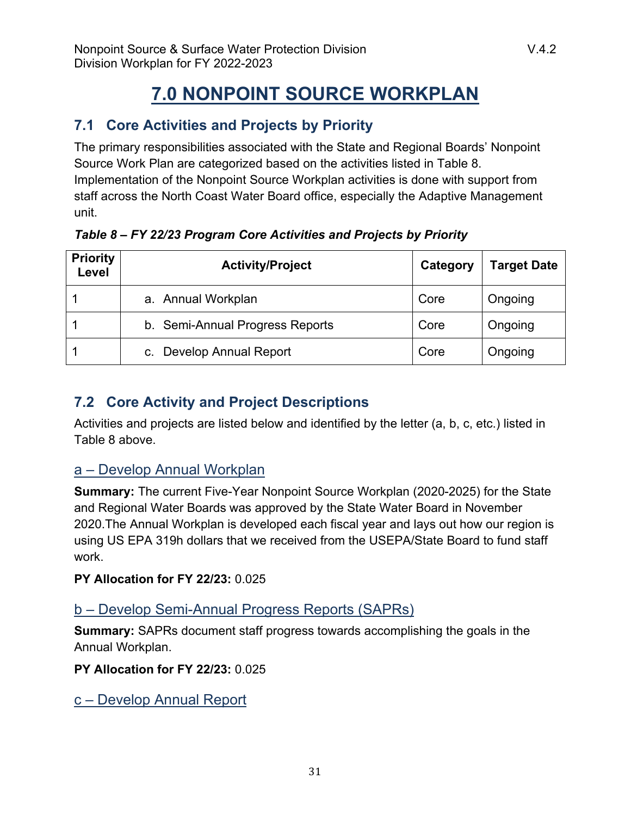# **7.0 NONPOINT SOURCE WORKPLAN**

# <span id="page-30-1"></span><span id="page-30-0"></span>**7.1 Core Activities and Projects by Priority**

The primary responsibilities associated with the State and Regional Boards' Nonpoint Source Work Plan are categorized based on the activities listed in Table 8. Implementation of the Nonpoint Source Workplan activities is done with support from staff across the North Coast Water Board office, especially the Adaptive Management unit.

| <b>Priority</b><br>Level | <b>Activity/Project</b>         | Category | <b>Target Date</b> |
|--------------------------|---------------------------------|----------|--------------------|
|                          | a. Annual Workplan              | Core     | Ongoing            |
|                          | b. Semi-Annual Progress Reports | Core     | Ongoing            |
|                          | c. Develop Annual Report        | Core     | Ongoing            |

*Table 8 – FY 22/23 Program Core Activities and Projects by Priority*

# <span id="page-30-2"></span>**7.2 Core Activity and Project Descriptions**

Activities and projects are listed below and identified by the letter (a, b, c, etc.) listed in Table 8 above.

# a – Develop Annual Workplan

**Summary:** The current Five-Year Nonpoint Source Workplan (2020-2025) for the State and Regional Water Boards was approved by the State Water Board in November 2020.The Annual Workplan is developed each fiscal year and lays out how our region is using US EPA 319h dollars that we received from the USEPA/State Board to fund staff work.

# **PY Allocation for FY 22/23:** 0.025

# b – Develop Semi-Annual Progress Reports (SAPRs)

**Summary:** SAPRs document staff progress towards accomplishing the goals in the Annual Workplan.

**PY Allocation for FY 22/23:** 0.025

c – Develop Annual Report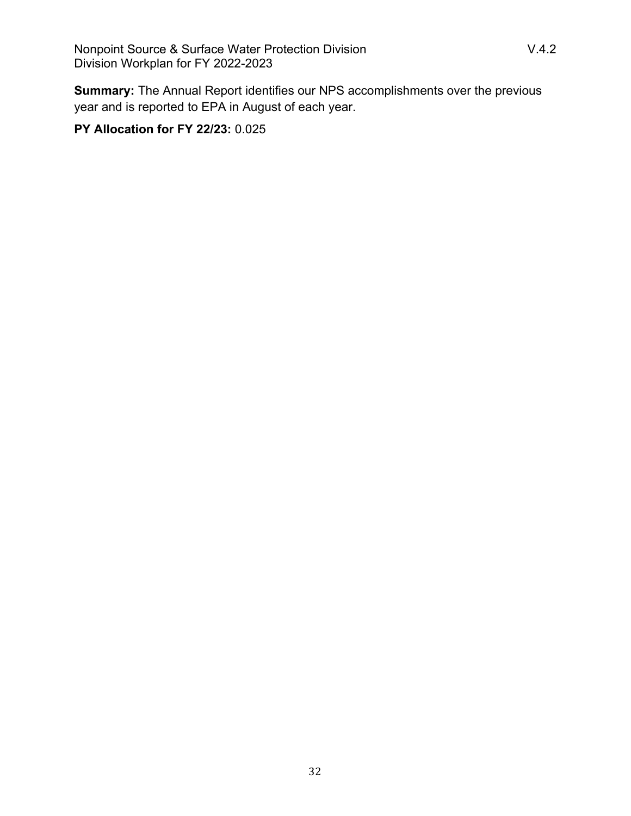**Summary:** The Annual Report identifies our NPS accomplishments over the previous year and is reported to EPA in August of each year.

# **PY Allocation for FY 22/23:** 0.025